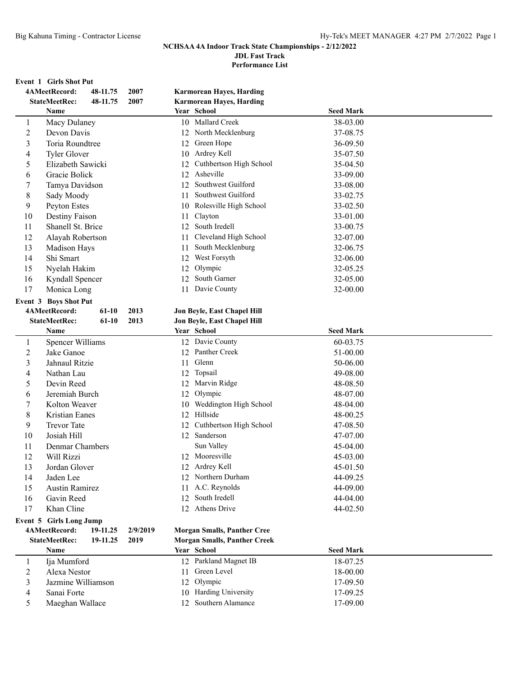**Performance List**

#### **Event 1 Girls Shot Put**

|                | 4AMeetRecord:           | 48-11.75 | 2007     |      | <b>Karmorean Hayes, Harding</b>      |                  |  |
|----------------|-------------------------|----------|----------|------|--------------------------------------|------------------|--|
|                | <b>StateMeetRec:</b>    | 48-11.75 | 2007     |      | <b>Karmorean Hayes, Harding</b>      |                  |  |
|                | Name                    |          |          |      | Year School                          | <b>Seed Mark</b> |  |
| 1              | Macy Dulaney            |          |          |      | 10 Mallard Creek                     | 38-03.00         |  |
| 2              | Devon Davis             |          |          |      | 12 North Mecklenburg                 | 37-08.75         |  |
| 3              | Toria Roundtree         |          |          | 12   | Green Hope                           | 36-09.50         |  |
| 4              | <b>Tyler Glover</b>     |          |          | 10   | Ardrey Kell                          | 35-07.50         |  |
| 5              | Elizabeth Sawicki       |          |          | 12   | Cuthbertson High School              | 35-04.50         |  |
| 6              | Gracie Bolick           |          |          | 12   | Asheville                            | 33-09.00         |  |
| 7              | Tamya Davidson          |          |          | 12   | Southwest Guilford                   | 33-08.00         |  |
| 8              | Sady Moody              |          |          | 11   | Southwest Guilford                   | 33-02.75         |  |
| 9              | Peyton Estes            |          |          |      | 10 Rolesville High School            | 33-02.50         |  |
| 10             | Destiny Faison          |          |          | 11 - | Clayton                              | 33-01.00         |  |
| 11             | Shanell St. Brice       |          |          |      | 12 South Iredell                     | 33-00.75         |  |
| 12             | Alayah Robertson        |          |          | 11   | Cleveland High School                | 32-07.00         |  |
| 13             | Madison Hays            |          |          | 11   | South Mecklenburg                    | 32-06.75         |  |
| 14             | Shi Smart               |          |          |      | 12 West Forsyth                      | 32-06.00         |  |
| 15             | Nyelah Hakim            |          |          | 12   | Olympic                              | 32-05.25         |  |
| 16             | Kyndall Spencer         |          |          |      | 12 South Garner                      | 32-05.00         |  |
| 17             | Monica Long             |          |          | 11   | Davie County                         | 32-00.00         |  |
|                | Event 3 Boys Shot Put   |          |          |      |                                      |                  |  |
|                | 4AMeetRecord:           | 61-10    | 2013     |      | Jon Beyle, East Chapel Hill          |                  |  |
|                | <b>StateMeetRec:</b>    | $61-10$  | 2013     |      | Jon Beyle, East Chapel Hill          |                  |  |
|                | Name                    |          |          |      | Year School                          | <b>Seed Mark</b> |  |
| 1              | Spencer Williams        |          |          |      | 12 Davie County                      | 60-03.75         |  |
| $\overline{c}$ | Jake Ganoe              |          |          |      | 12 Panther Creek                     | 51-00.00         |  |
| 3              | Jahnaul Ritzie          |          |          |      | 11 Glenn                             | 50-06.00         |  |
| 4              | Nathan Lau              |          |          |      | 12 Topsail                           | 49-08.00         |  |
| 5              | Devin Reed              |          |          |      | 12 Marvin Ridge                      | 48-08.50         |  |
| 6              | Jeremiah Burch          |          |          |      | 12 Olympic                           | 48-07.00         |  |
|                | Kolton Weaver           |          |          |      | Weddington High School               |                  |  |
| 7              | Kristian Eanes          |          |          | 10   | 12 Hillside                          | 48-04.00         |  |
| 8              |                         |          |          |      |                                      | 48-00.25         |  |
| 9              | <b>Trevor Tate</b>      |          |          | 12   | Cuthbertson High School<br>Sanderson | 47-08.50         |  |
| 10             | Josiah Hill             |          |          | 12   |                                      | 47-07.00         |  |
| 11             | Denmar Chambers         |          |          |      | Sun Valley                           | 45-04.00         |  |
| 12             | Will Rizzi              |          |          |      | 12 Mooresville                       | 45-03.00         |  |
| 13             | Jordan Glover           |          |          |      | 12 Ardrey Kell                       | 45-01.50         |  |
| 14             | Jaden Lee               |          |          |      | 12 Northern Durham                   | 44-09.25         |  |
| 15             | <b>Austin Ramirez</b>   |          |          | 11   | A.C. Reynolds                        | 44-09.00         |  |
| 16             | Gavin Reed              |          |          | 12   | South Iredell                        | 44-04.00         |  |
| 17             | Khan Cline              |          |          |      | 12 Athens Drive                      | 44-02.50         |  |
|                | Event 5 Girls Long Jump |          |          |      |                                      |                  |  |
|                | 4AMeetRecord:           | 19-11.25 | 2/9/2019 |      | <b>Morgan Smalls, Panther Cree</b>   |                  |  |
|                | <b>StateMeetRec:</b>    | 19-11.25 | 2019     |      | <b>Morgan Smalls, Panther Creek</b>  |                  |  |
|                | Name                    |          |          |      | Year School                          | <b>Seed Mark</b> |  |
| $\mathbf{1}$   | Ija Mumford             |          |          |      | 12 Parkland Magnet IB                | 18-07.25         |  |
| $\overline{c}$ | Alexa Nestor            |          |          | 11   | Green Level                          | 18-00.00         |  |
| 3              | Jazmine Williamson      |          |          | 12   | Olympic                              | 17-09.50         |  |
| 4              | Sanai Forte             |          |          |      | 10 Harding University                | 17-09.25         |  |
| 5              | Maeghan Wallace         |          |          |      | 12 Southern Alamance                 | 17-09.00         |  |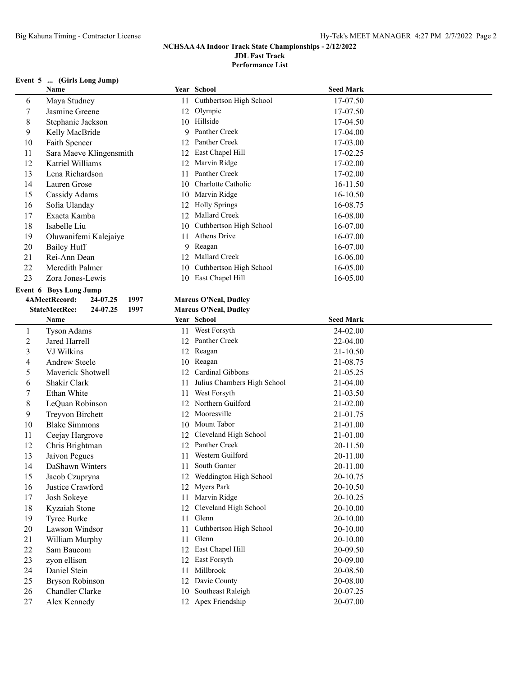## **Event 5 ... (Girls Long Jump)**

|              | Name                                     |    | Year School                  | <b>Seed Mark</b> |
|--------------|------------------------------------------|----|------------------------------|------------------|
| 6            | Maya Studney                             | 11 | Cuthbertson High School      | 17-07.50         |
| 7            | Jasmine Greene                           |    | 12 Olympic                   | 17-07.50         |
| 8            | Stephanie Jackson                        |    | 10 Hillside                  | 17-04.50         |
| 9            | Kelly MacBride                           | 9  | Panther Creek                | 17-04.00         |
| 10           | Faith Spencer                            | 12 | Panther Creek                | 17-03.00         |
| 11           | Sara Maeve Klingensmith                  | 12 | East Chapel Hill             | 17-02.25         |
| 12           | Katriel Williams                         | 12 | Marvin Ridge                 | 17-02.00         |
| 13           | Lena Richardson                          | 11 | Panther Creek                | 17-02.00         |
| 14           | Lauren Grose                             | 10 | Charlotte Catholic           | 16-11.50         |
| 15           | Cassidy Adams                            | 10 | Marvin Ridge                 | 16-10.50         |
| 16           | Sofia Ulanday                            | 12 | <b>Holly Springs</b>         | 16-08.75         |
| 17           | Exacta Kamba                             | 12 | Mallard Creek                | 16-08.00         |
| 18           | Isabelle Liu                             | 10 | Cuthbertson High School      | 16-07.00         |
| 19           | Oluwanifemi Kalejaiye                    | 11 | Athens Drive                 | 16-07.00         |
| 20           | <b>Bailey Huff</b>                       | 9  | Reagan                       | 16-07.00         |
| 21           | Rei-Ann Dean                             |    | 12 Mallard Creek             | 16-06.00         |
| 22           | Meredith Palmer                          | 10 | Cuthbertson High School      | 16-05.00         |
| 23           | Zora Jones-Lewis                         |    | 10 East Chapel Hill          | 16-05.00         |
|              | Event 6 Boys Long Jump                   |    |                              |                  |
|              | 4AMeetRecord:<br>24-07.25<br>1997        |    | <b>Marcus O'Neal, Dudley</b> |                  |
|              | <b>StateMeetRec:</b><br>24-07.25<br>1997 |    | <b>Marcus O'Neal, Dudley</b> |                  |
|              | Name                                     |    | Year School                  | <b>Seed Mark</b> |
| $\mathbf{1}$ | <b>Tyson Adams</b>                       |    | 11 West Forsyth              | 24-02.00         |
| 2            | Jared Harrell                            |    | 12 Panther Creek             | 22-04.00         |
| 3            | VJ Wilkins                               |    | 12 Reagan                    | $21 - 10.50$     |
| 4            | <b>Andrew Steele</b>                     | 10 | Reagan                       | 21-08.75         |
| 5            | Maverick Shotwell                        | 12 | Cardinal Gibbons             | 21-05.25         |
| 6            | Shakir Clark                             | 11 | Julius Chambers High School  | 21-04.00         |
| 7            | Ethan White                              | 11 | West Forsyth                 | 21-03.50         |
| 8            | LeQuan Robinson                          | 12 | Northern Guilford            | 21-02.00         |
| 9            | Treyvon Birchett                         | 12 | Mooresville                  | 21-01.75         |
| 10           | <b>Blake Simmons</b>                     | 10 | Mount Tabor                  | 21-01.00         |
| 11           | Ceejay Hargrove                          | 12 | Cleveland High School        | 21-01.00         |
| 12           | Chris Brightman                          | 12 | Panther Creek                | 20-11.50         |
| 13           | Jaivon Pegues                            | 11 | Western Guilford             | 20-11.00         |
| 14           | DaShawn Winters                          | 11 | South Garner                 | 20-11.00         |
| 15           | Jacob Czupryna                           |    | 12 Weddington High School    | 20-10.75         |
| 16           | Justice Crawford                         | 12 | Myers Park                   | 20-10.50         |
| 17           | Josh Sokeye                              | 11 | Marvin Ridge                 | 20-10.25         |
| 18           | Kyzaiah Stone                            | 12 | Cleveland High School        | 20-10.00         |
| 19           | Tyree Burke                              | 11 | Glenn                        | 20-10.00         |
| 20           | Lawson Windsor                           |    | Cuthbertson High School      |                  |
| 21           |                                          | 11 | Glenn                        | 20-10.00         |
|              | William Murphy                           | 11 |                              | 20-10.00         |
| 22           | Sam Baucom                               |    | 12 East Chapel Hill          | 20-09.50         |
| 23           | zyon ellison                             | 12 | East Forsyth                 | 20-09.00         |
| 24           | Daniel Stein                             | 11 | Millbrook                    | 20-08.50         |
| 25           | <b>Bryson Robinson</b>                   |    | 12 Davie County              | 20-08.00         |
| 26           | Chandler Clarke                          | 10 | Southeast Raleigh            | 20-07.25         |
| 27           | Alex Kennedy                             |    | 12 Apex Friendship           | 20-07.00         |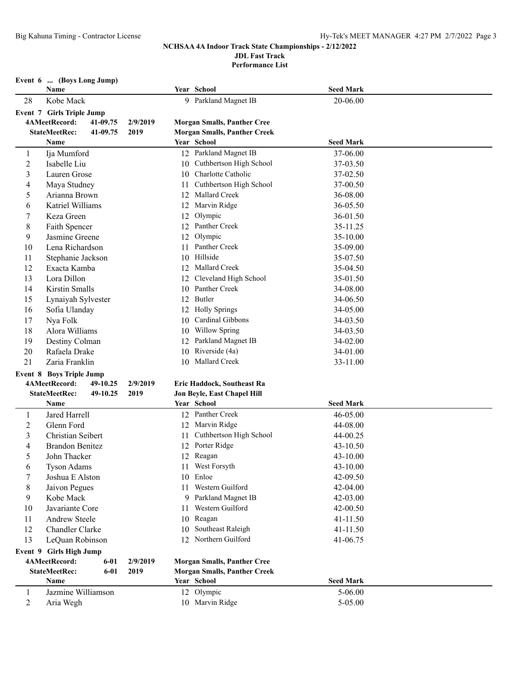**Performance List**

|                | Event 6  (Boys Long Jump)        |          |     |                                     |                  |  |
|----------------|----------------------------------|----------|-----|-------------------------------------|------------------|--|
|                | Name                             |          |     | Year School                         | <b>Seed Mark</b> |  |
| 28             | Kobe Mack                        |          |     | 9 Parkland Magnet IB                | 20-06.00         |  |
|                | <b>Event 7 Girls Triple Jump</b> |          |     |                                     |                  |  |
|                | 4AMeetRecord:<br>41-09.75        | 2/9/2019 |     | <b>Morgan Smalls, Panther Cree</b>  |                  |  |
|                | <b>StateMeetRec:</b><br>41-09.75 | 2019     |     | <b>Morgan Smalls, Panther Creek</b> |                  |  |
|                | Name                             |          |     | Year School                         | <b>Seed Mark</b> |  |
| 1              | Ija Mumford                      |          |     | 12 Parkland Magnet IB               | 37-06.00         |  |
| $\overline{2}$ | Isabelle Liu                     |          |     | 10 Cuthbertson High School          | 37-03.50         |  |
| 3              | Lauren Grose                     |          | 10  | Charlotte Catholic                  | 37-02.50         |  |
| 4              | Maya Studney                     |          | 11. | Cuthbertson High School             | 37-00.50         |  |
| 5              | Arianna Brown                    |          |     | 12 Mallard Creek                    | 36-08.00         |  |
| 6              | Katriel Williams                 |          |     | 12 Marvin Ridge                     | 36-05.50         |  |
| 7              | Keza Green                       |          |     | 12 Olympic                          | 36-01.50         |  |
| 8              | Faith Spencer                    |          |     | 12 Panther Creek                    | 35-11.25         |  |
| 9              | Jasmine Greene                   |          | 12  | Olympic                             | 35-10.00         |  |
| 10             | Lena Richardson                  |          | 11  | Panther Creek                       | 35-09.00         |  |
| 11             | Stephanie Jackson                |          |     | 10 Hillside                         | 35-07.50         |  |
| 12             | Exacta Kamba                     |          |     | 12 Mallard Creek                    | 35-04.50         |  |
| 13             | Lora Dillon                      |          |     | 12 Cleveland High School            | 35-01.50         |  |
| 14             | Kirstin Smalls                   |          | 10  | Panther Creek                       | 34-08.00         |  |
| 15             | Lynaiyah Sylvester               |          | 12  | Butler                              | 34-06.50         |  |
| 16             | Sofia Ulanday                    |          |     | 12 Holly Springs                    | 34-05.00         |  |
| 17             | Nya Folk                         |          |     | 10 Cardinal Gibbons                 | 34-03.50         |  |
| 18             | Alora Williams                   |          | 10  | <b>Willow Spring</b>                | 34-03.50         |  |
| 19             | Destiny Colman                   |          |     | 12 Parkland Magnet IB               | 34-02.00         |  |
| 20             | Rafaela Drake                    |          |     | 10 Riverside (4a)                   | 34-01.00         |  |
| 21             | Zaria Franklin                   |          |     | 10 Mallard Creek                    | 33-11.00         |  |
|                | <b>Event 8 Boys Triple Jump</b>  |          |     |                                     |                  |  |
|                | 4AMeetRecord:<br>49-10.25        | 2/9/2019 |     | Eric Haddock, Southeast Ra          |                  |  |
|                | <b>StateMeetRec:</b><br>49-10.25 | 2019     |     | Jon Beyle, East Chapel Hill         |                  |  |
|                | Name                             |          |     | Year School                         | <b>Seed Mark</b> |  |
| 1              | Jared Harrell                    |          |     | 12 Panther Creek                    | 46-05.00         |  |
| $\overline{c}$ | Glenn Ford                       |          |     | 12 Marvin Ridge                     | 44-08.00         |  |
| 3              | Christian Seibert                |          |     | 11 Cuthbertson High School          | 44-00.25         |  |
| 4              | <b>Brandon Benitez</b>           |          |     | 12 Porter Ridge                     | 43-10.50         |  |
| 5              | John Thacker                     |          |     | 12 Reagan                           | 43-10.00         |  |
| 6              | <b>Tyson Adams</b>               |          |     | 11 West Forsyth                     | 43-10.00         |  |
| 7              | Joshua E Alston                  |          | 10  | Enloe                               | 42-09.50         |  |
| 8              | Jaivon Pegues                    |          | 11. | Western Guilford                    | 42-04.00         |  |
| 9              | Kobe Mack                        |          |     | 9 Parkland Magnet IB                | 42-03.00         |  |
| 10             | Javariante Core                  |          | 11  | Western Guilford                    | 42-00.50         |  |
| 11             | Andrew Steele                    |          | 10  | Reagan                              | 41-11.50         |  |
| 12             | Chandler Clarke                  |          | 10  | Southeast Raleigh                   | 41-11.50         |  |
| 13             | LeQuan Robinson                  |          |     | 12 Northern Guilford                | 41-06.75         |  |
|                | Event 9 Girls High Jump          |          |     |                                     |                  |  |
|                | 4AMeetRecord:<br>$6 - 01$        | 2/9/2019 |     | <b>Morgan Smalls, Panther Cree</b>  |                  |  |
|                | <b>StateMeetRec:</b><br>$6 - 01$ | 2019     |     | <b>Morgan Smalls, Panther Creek</b> |                  |  |
|                | Name                             |          |     | Year School                         | <b>Seed Mark</b> |  |
| 1              | Jazmine Williamson               |          |     | 12 Olympic                          | $5 - 06.00$      |  |
| 2              | Aria Wegh                        |          |     | 10 Marvin Ridge                     | 5-05.00          |  |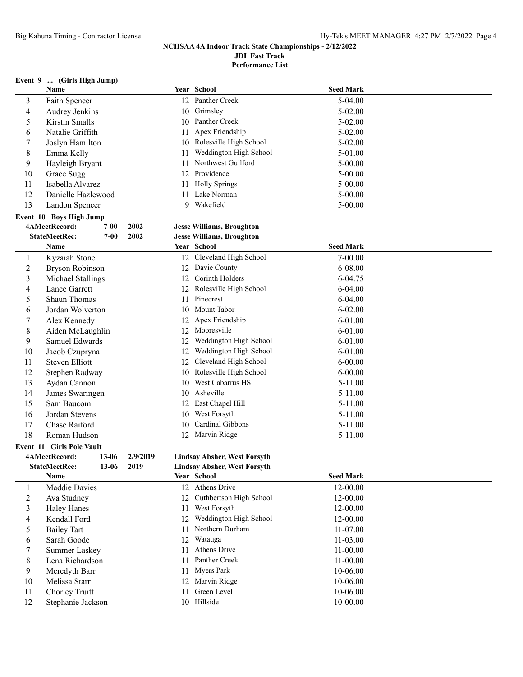**Performance List**

### **Event 9 ... (Girls High Jump)**

|                          | Name                             |           |          |    | Year School                         | <b>Seed Mark</b> |  |
|--------------------------|----------------------------------|-----------|----------|----|-------------------------------------|------------------|--|
| 3                        | Faith Spencer                    |           |          |    | 12 Panther Creek                    | 5-04.00          |  |
| $\overline{\mathcal{A}}$ | Audrey Jenkins                   |           |          |    | 10 Grimsley                         | 5-02.00          |  |
| $\mathfrak s$            | Kirstin Smalls                   |           |          |    | 10 Panther Creek                    | 5-02.00          |  |
| 6                        | Natalie Griffith                 |           |          |    | 11 Apex Friendship                  | $5 - 02.00$      |  |
| 7                        | Joslyn Hamilton                  |           |          |    | 10 Rolesville High School           | 5-02.00          |  |
| $\,8$                    | Emma Kelly                       |           |          | 11 | Weddington High School              | 5-01.00          |  |
| 9                        | Hayleigh Bryant                  |           |          | 11 | Northwest Guilford                  | 5-00.00          |  |
| 10                       | Grace Sugg                       |           |          |    | 12 Providence                       | $5 - 00.00$      |  |
| 11                       | Isabella Alvarez                 |           |          | 11 | <b>Holly Springs</b>                | 5-00.00          |  |
| 12                       | Danielle Hazlewood               |           |          | 11 | Lake Norman                         | 5-00.00          |  |
| 13                       | Landon Spencer                   |           |          |    | 9 Wakefield                         | $5 - 00.00$      |  |
|                          | Event 10 Boys High Jump          |           |          |    |                                     |                  |  |
|                          | 4AMeetRecord:                    | $7-00$    | 2002     |    | <b>Jesse Williams, Broughton</b>    |                  |  |
|                          | <b>StateMeetRec:</b>             | $7 - 00$  | 2002     |    | <b>Jesse Williams, Broughton</b>    |                  |  |
|                          | Name                             |           |          |    | Year School                         | <b>Seed Mark</b> |  |
| $\mathbf{1}$             | Kyzaiah Stone                    |           |          |    | 12 Cleveland High School            | $7 - 00.00$      |  |
| $\overline{c}$           | <b>Bryson Robinson</b>           |           |          |    | 12 Davie County                     | 6-08.00          |  |
| $\mathfrak{Z}$           | Michael Stallings                |           |          |    | 12 Corinth Holders                  | 6-04.75          |  |
| $\overline{4}$           | Lance Garrett                    |           |          |    | 12 Rolesville High School           | 6-04.00          |  |
| 5                        | Shaun Thomas                     |           |          | 11 | Pinecrest                           | 6-04.00          |  |
| 6                        | Jordan Wolverton                 |           |          |    | 10 Mount Tabor                      | $6 - 02.00$      |  |
| $\tau$                   | Alex Kennedy                     |           |          |    | 12 Apex Friendship                  | $6 - 01.00$      |  |
| $\,$ 8 $\,$              | Aiden McLaughlin                 |           |          | 12 | Mooresville                         | $6 - 01.00$      |  |
| 9                        | Samuel Edwards                   |           |          | 12 | Weddington High School              | $6 - 01.00$      |  |
| 10                       | Jacob Czupryna                   |           |          | 12 | Weddington High School              | $6 - 01.00$      |  |
| 11                       | <b>Steven Elliott</b>            |           |          | 12 | Cleveland High School               | $6 - 00.00$      |  |
| 12                       | Stephen Radway                   |           |          | 10 | Rolesville High School              | $6 - 00.00$      |  |
| 13                       | Aydan Cannon                     |           |          | 10 | West Cabarrus HS                    | $5-11.00$        |  |
| 14                       | James Swaringen                  |           |          |    | 10 Asheville                        | $5 - 11.00$      |  |
| 15                       | Sam Baucom                       |           |          |    | 12 East Chapel Hill                 | $5 - 11.00$      |  |
| 16                       | Jordan Stevens                   |           |          |    | 10 West Forsyth                     | $5-11.00$        |  |
| 17                       | Chase Raiford                    |           |          | 10 | Cardinal Gibbons                    | $5 - 11.00$      |  |
| 18                       | Roman Hudson                     |           |          |    | 12 Marvin Ridge                     | $5-11.00$        |  |
|                          | <b>Event 11 Girls Pole Vault</b> |           |          |    |                                     |                  |  |
|                          | 4AMeetRecord:                    | $13 - 06$ | 2/9/2019 |    | <b>Lindsay Absher, West Forsyth</b> |                  |  |
|                          | <b>StateMeetRec:</b>             | 13-06     | 2019     |    | <b>Lindsay Absher, West Forsyth</b> |                  |  |
|                          | Name                             |           |          |    | Year School                         | <b>Seed Mark</b> |  |
| 1                        | Maddie Davies                    |           |          |    | 12 Athens Drive                     | 12-00.00         |  |
| $\overline{c}$           | Ava Studney                      |           |          | 12 | Cuthbertson High School             | 12-00.00         |  |
| 3                        | <b>Haley Hanes</b>               |           |          | 11 | West Forsyth                        | 12-00.00         |  |
| 4                        | Kendall Ford                     |           |          | 12 | Weddington High School              | 12-00.00         |  |
| 5                        | <b>Bailey Tart</b>               |           |          | 11 | Northern Durham                     | 11-07.00         |  |
| 6                        | Sarah Goode                      |           |          | 12 | Watauga                             | 11-03.00         |  |
| 7                        | <b>Summer Laskey</b>             |           |          | 11 | Athens Drive                        | 11-00.00         |  |
| $\,$ 8 $\,$              | Lena Richardson                  |           |          | 11 | Panther Creek                       | 11-00.00         |  |
| 9                        | Meredyth Barr                    |           |          | 11 | Myers Park                          | 10-06.00         |  |
| 10                       | Melissa Starr                    |           |          |    | 12 Marvin Ridge                     | 10-06.00         |  |
| 11                       | Chorley Truitt                   |           |          | 11 | Green Level                         | 10-06.00         |  |
| 12                       | Stephanie Jackson                |           |          |    | 10 Hillside                         | 10-00.00         |  |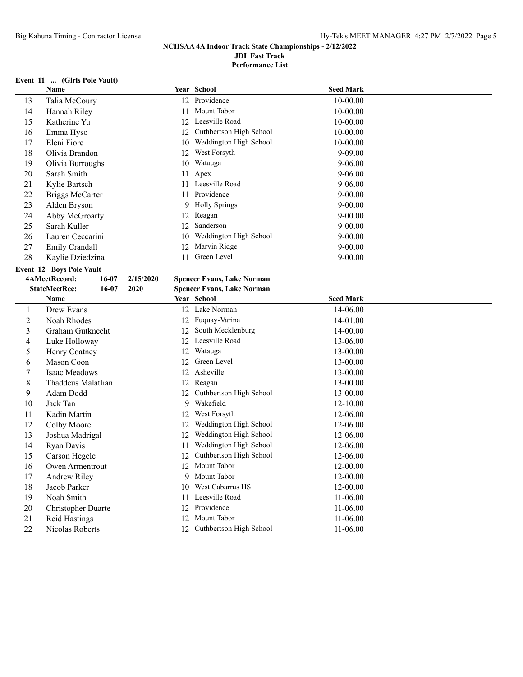**Performance List**

### **Event 11 ... (Girls Pole Vault)**

|            | Name                              |           | Year School                       | <b>Seed Mark</b> |  |
|------------|-----------------------------------|-----------|-----------------------------------|------------------|--|
| 13         | Talia McCoury                     |           | 12 Providence                     | 10-00.00         |  |
| 14         | Hannah Riley                      | 11        | Mount Tabor                       | 10-00.00         |  |
| 15         | Katherine Yu                      |           | 12 Leesville Road                 | 10-00.00         |  |
| 16         | Emma Hyso                         |           | 12 Cuthbertson High School        | 10-00.00         |  |
| 17         | Eleni Fiore                       |           | 10 Weddington High School         | 10-00.00         |  |
| 18         | Olivia Brandon                    |           | 12 West Forsyth                   | 9-09.00          |  |
| 19         | Olivia Burroughs                  | 10        | Watauga                           | $9 - 06.00$      |  |
| 20         | Sarah Smith                       | 11        | Apex                              | $9 - 06.00$      |  |
| 21         | Kylie Bartsch                     |           | 11 Leesville Road                 | $9 - 06.00$      |  |
| 22         | <b>Briggs McCarter</b>            | 11        | Providence                        | $9 - 00.00$      |  |
| 23         | Alden Bryson                      | 9         | <b>Holly Springs</b>              | $9 - 00.00$      |  |
| 24         | Abby McGroarty                    | 12        | Reagan                            | $9 - 00.00$      |  |
| 25         | Sarah Kuller                      |           | 12 Sanderson                      | $9 - 00.00$      |  |
| 26         | Lauren Ceccarini                  | 10        | Weddington High School            | $9 - 00.00$      |  |
| 27         | Emily Crandall                    | 12        | Marvin Ridge                      | $9 - 00.00$      |  |
| 28         | Kaylie Dziedzina                  | 11        | Green Level                       | $9 - 00.00$      |  |
|            | <b>Event 12 Boys Pole Vault</b>   |           |                                   |                  |  |
|            | 4AMeetRecord:<br>16-07            | 2/15/2020 | <b>Spencer Evans, Lake Norman</b> |                  |  |
|            | <b>StateMeetRec:</b><br>$16 - 07$ | 2020      | <b>Spencer Evans, Lake Norman</b> |                  |  |
|            | Name                              |           | Year School                       | <b>Seed Mark</b> |  |
| 1          | Drew Evans                        |           | 12 Lake Norman                    | 14-06.00         |  |
| $\sqrt{2}$ | Noah Rhodes                       |           | 12 Fuquay-Varina                  | 14-01.00         |  |
| 3          | Graham Gutknecht                  |           | 12 South Mecklenburg              | 14-00.00         |  |
| 4          | Luke Holloway                     |           | 12 Leesville Road                 | 13-06.00         |  |
| 5          | Henry Coatney                     |           | 12 Watauga                        | 13-00.00         |  |
| 6          | Mason Coon                        | 12        | Green Level                       | 13-00.00         |  |
| $\tau$     | Isaac Meadows                     |           | 12 Asheville                      | 13-00.00         |  |
| $\,8\,$    | Thaddeus Malatlian                | 12        | Reagan                            | 13-00.00         |  |
| 9          | Adam Dodd                         |           | 12 Cuthbertson High School        | 13-00.00         |  |
| 10         | Jack Tan                          |           | 9 Wakefield                       | 12-10.00         |  |
| 11         | Kadin Martin                      |           | 12 West Forsyth                   | 12-06.00         |  |
| 12         | Colby Moore                       | 12        | Weddington High School            | 12-06.00         |  |
| 13         | Joshua Madrigal                   |           | 12 Weddington High School         | 12-06.00         |  |
| 14         | Ryan Davis                        | 11        | Weddington High School            | 12-06.00         |  |
| 15         | Carson Hegele                     | 12        | Cuthbertson High School           | 12-06.00         |  |
| 16         | Owen Armentrout                   |           | 12 Mount Tabor                    | 12-00.00         |  |
| 17         | Andrew Riley                      |           | 9 Mount Tabor                     | 12-00.00         |  |
| 18         | Jacob Parker                      | 10        | West Cabarrus HS                  | 12-00.00         |  |
| 19         | Noah Smith                        |           | 11 Leesville Road                 | 11-06.00         |  |
| 20         | Christopher Duarte                |           | 12 Providence                     | 11-06.00         |  |
| 21         |                                   |           |                                   |                  |  |
|            | <b>Reid Hastings</b>              |           | 12 Mount Tabor                    | 11-06.00         |  |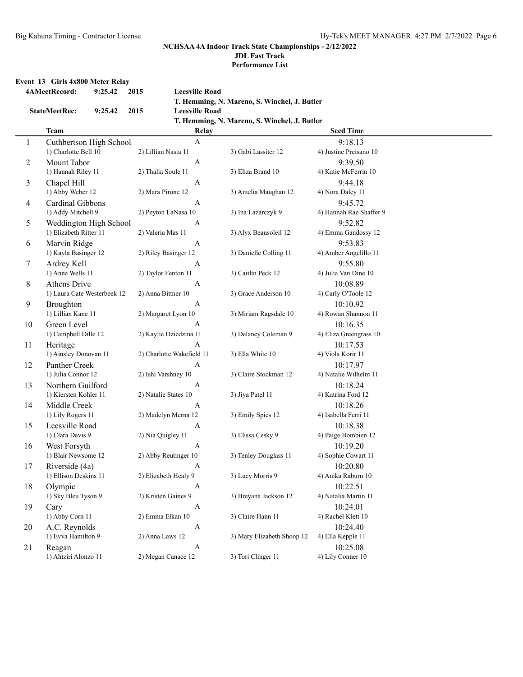# **NCHSAA 4A Indoor Track State Championships - 2/12/2022**

**JDL Fast Track**

**Performance List**

### **Event 13 Girls 4x800 Meter Relay**

|                | 4AMeetRecord:               | 9:25.42 | 2015 | <b>Leesville Road</b>     |                                              |                         |
|----------------|-----------------------------|---------|------|---------------------------|----------------------------------------------|-------------------------|
|                |                             |         |      |                           | T. Hemming, N. Mareno, S. Winchel, J. Butler |                         |
|                | <b>StateMeetRec:</b>        | 9:25.42 | 2015 | <b>Leesville Road</b>     |                                              |                         |
|                |                             |         |      |                           | T. Hemming, N. Mareno, S. Winchel, J. Butler |                         |
|                | <b>Team</b>                 |         |      | Relay                     |                                              | <b>Seed Time</b>        |
| $\mathbf{1}$   | Cuthbertson High School     |         |      | $\mathbf{A}$              |                                              | 9:18.13                 |
|                | 1) Charlotte Bell 10        |         |      | 2) Lillian Nasta 11       | 3) Gabi Lassiter 12                          | 4) Justine Preisano 10  |
| $\overline{2}$ | Mount Tabor                 |         |      | $\boldsymbol{A}$          |                                              | 9:39.50                 |
|                | 1) Hannah Riley 11          |         |      | 2) Thalia Soule 11        | 3) Eliza Brand 10                            | 4) Katie McFerrin 10    |
|                |                             |         |      |                           |                                              |                         |
| 3              | Chapel Hill                 |         |      | A                         |                                              | 9:44.18                 |
|                | 1) Abby Weber 12            |         |      | 2) Mara Pirone 12         | 3) Amelia Maughan 12                         | 4) Nora Daley 11        |
| $\overline{4}$ | Cardinal Gibbons            |         |      | A                         |                                              | 9:45.72                 |
|                | 1) Addy Mitchell 9          |         |      | 2) Peyton LaNasa 10       | 3) Ina Lazarczyk 9                           | 4) Hannah Rae Shaffer 9 |
| 5              | Weddington High School      |         |      | A                         |                                              | 9:52.82                 |
|                | 1) Elizabeth Ritter 11      |         |      | 2) Valeria Mas 11         | 3) Alyx Beausoleil 12                        | 4) Emma Gandossy 12     |
| 6              | Marvin Ridge                |         |      | A                         |                                              | 9:53.83                 |
|                | 1) Kayla Basinger 12        |         |      | 2) Riley Basinger 12      | 3) Danielle Colling 11                       | 4) Amber Angelillo 11   |
| $\tau$         | Ardrey Kell                 |         |      | A                         |                                              | 9:55.80                 |
|                | 1) Anna Wells 11            |         |      | 2) Taylor Fenton 11       | 3) Caitlin Peck 12                           | 4) Julia Van Dine 10    |
| $8\,$          | <b>Athens Drive</b>         |         |      | A                         |                                              | 10:08.89                |
|                | 1) Laura Cate Westerbeek 12 |         |      | 2) Anna Bittner 10        | 3) Grace Anderson 10                         | 4) Carly O'Toole 12     |
| 9              | Broughton                   |         |      | A                         |                                              | 10:10.92                |
|                | 1) Lillian Kane 11          |         |      | 2) Margaret Lyon 10       | 3) Miriam Ragsdale 10                        | 4) Rowan Shannon 11     |
| 10             | Green Level                 |         |      | A                         |                                              | 10:16.35                |
|                | 1) Campbell Dille 12        |         |      | 2) Kaylie Dziedzina 11    | 3) Delaney Coleman 9                         | 4) Eliza Greengrass 10  |
| 11             | Heritage                    |         |      | A                         |                                              | 10:17.53                |
|                | 1) Ainsley Donovan 11       |         |      | 2) Charlotte Wakefield 11 | 3) Ella White 10                             | 4) Viola Korir 11       |
| 12             | Panther Creek               |         |      | A                         |                                              | 10:17.97                |
|                | 1) Julia Connor 12          |         |      | 2) Ishi Varshney 10       | 3) Claire Stockman 12                        | 4) Natalie Wilhelm 11   |
| 13             | Northern Guilford           |         |      | A                         |                                              | 10:18.24                |
|                | 1) Kiersten Kohler 11       |         |      | 2) Natalie States 10      | 3) Jiya Patel 11                             | 4) Katrina Ford 12      |
| 14             | Middle Creek                |         |      | A                         |                                              | 10:18.26                |
|                | 1) Lily Rogers 11           |         |      | 2) Madelyn Merna 12       | 3) Emily Spies 12                            | 4) Isabella Ferri 11    |
| 15             | Leesville Road              |         |      | A                         |                                              | 10:18.38                |
|                | 1) Clara Davis 9            |         |      | 2) Nia Quigley 11         | 3) Elissa Cesky 9                            | 4) Paige Bombien 12     |
| 16             | West Forsyth                |         |      | A                         |                                              | 10:19.20                |
|                | 1) Blair Newsome 12         |         |      | 2) Abby Reutinger 10      | 3) Tenley Douglass 11                        | 4) Sophie Cowart 11     |
| 17             | Riverside (4a)              |         |      | A                         |                                              | 10:20.80                |
|                | 1) Ellison Deskins 11       |         |      | 2) Elizabeth Healy 9      | 3) Lucy Morris 9                             | 4) Anika Raburn 10      |
|                |                             |         |      |                           |                                              | 10:22.51                |
| 18             | Olympic                     |         |      | A                         |                                              |                         |
|                | 1) Sky Bleu Tyson 9         |         |      | 2) Kristen Gaines 9       | 3) Breyana Jackson 12                        | 4) Natalia Martin 11    |
| 19             | Cary                        |         |      | $\boldsymbol{A}$          |                                              | 10:24.01                |
|                | 1) Abby Corn 11             |         |      | 2) Emma Elkan 10          | 3) Claire Hann 11                            | 4) Rachel Klett 10      |
| 20             | A.C. Reynolds               |         |      | $\boldsymbol{A}$          |                                              | 10:24.40                |
|                | 1) Evva Hamilton 9          |         |      | 2) Anna Laws 12           | 3) Mary Elizabeth Shoop 12                   | 4) Ella Kepple 11       |
| 21             | Reagan                      |         |      | $\boldsymbol{\rm{A}}$     |                                              | 10:25.08                |
|                | 1) Ahtziri Alonzo 11        |         |      | 2) Megan Canace 12        | 3) Tori Clinger 11                           | 4) Lily Conner 10       |
|                |                             |         |      |                           |                                              |                         |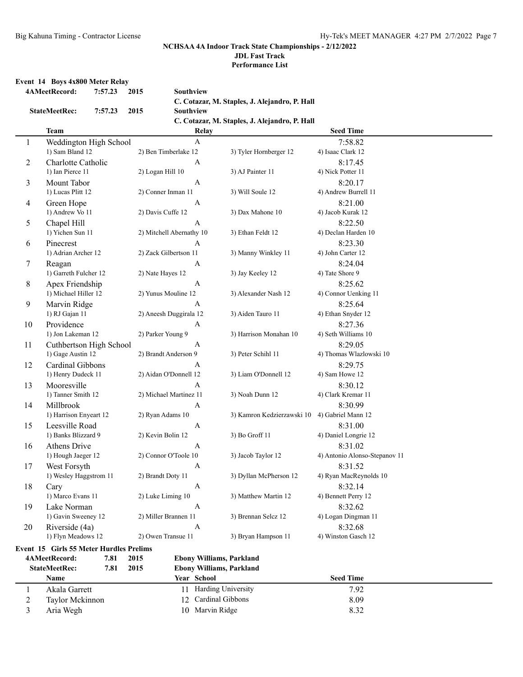**Performance List**

#### **Event 14 Boys 4x800 Meter Relay**

|              | 4AMeetRecord:                           | 7:57.23 | 2015 | Southview                |                                 |                                               |                               |  |
|--------------|-----------------------------------------|---------|------|--------------------------|---------------------------------|-----------------------------------------------|-------------------------------|--|
|              |                                         |         |      |                          |                                 | C. Cotazar, M. Staples, J. Alejandro, P. Hall |                               |  |
|              | <b>StateMeetRec:</b>                    | 7:57.23 | 2015 | Southview                |                                 |                                               |                               |  |
|              |                                         |         |      |                          |                                 | C. Cotazar, M. Staples, J. Alejandro, P. Hall |                               |  |
|              | <b>Team</b>                             |         |      |                          | Relay                           |                                               | <b>Seed Time</b>              |  |
| $\mathbf{1}$ | Weddington High School                  |         |      |                          | $\mathbf{A}$                    |                                               | 7:58.82                       |  |
|              | 1) Sam Bland 12                         |         |      | 2) Ben Timberlake 12     |                                 | 3) Tyler Hornberger 12                        | 4) Isaac Clark 12             |  |
| 2            | Charlotte Catholic                      |         |      |                          | $\boldsymbol{A}$                |                                               | 8:17.45                       |  |
|              | 1) Ian Pierce 11                        |         |      | 2) Logan Hill 10         |                                 | 3) AJ Painter 11                              | 4) Nick Potter 11             |  |
| 3            | Mount Tabor                             |         |      |                          | $\mathbf{A}$                    |                                               | 8:20.17                       |  |
|              | 1) Lucas Plitt 12                       |         |      | 2) Conner Inman 11       |                                 | 3) Will Soule 12                              | 4) Andrew Burrell 11          |  |
| 4            | Green Hope                              |         |      |                          | $\mathbf{A}$                    |                                               | 8:21.00                       |  |
|              | 1) Andrew Vo 11                         |         |      | 2) Davis Cuffe 12        |                                 | 3) Dax Mahone 10                              | 4) Jacob Kurak 12             |  |
| 5            | Chapel Hill                             |         |      |                          | $\boldsymbol{A}$                |                                               | 8:22.50                       |  |
|              | 1) Yichen Sun 11                        |         |      | 2) Mitchell Abernathy 10 |                                 | 3) Ethan Feldt 12                             | 4) Declan Harden 10           |  |
| 6            | Pinecrest                               |         |      |                          | A                               |                                               | 8:23.30                       |  |
|              | 1) Adrian Archer 12                     |         |      | 2) Zack Gilbertson 11    |                                 | 3) Manny Winkley 11                           | 4) John Carter 12             |  |
| 7            | Reagan                                  |         |      |                          | $\boldsymbol{A}$                |                                               | 8:24.04                       |  |
|              | 1) Garreth Fulcher 12                   |         |      | 2) Nate Hayes 12         |                                 | 3) Jay Keeley 12                              | 4) Tate Shore 9               |  |
| 8            | Apex Friendship                         |         |      |                          | A                               |                                               | 8:25.62                       |  |
|              | 1) Michael Hiller 12                    |         |      | 2) Yunus Mouline 12      |                                 | 3) Alexander Nash 12                          | 4) Connor Uenking 11          |  |
| 9            | Marvin Ridge                            |         |      |                          | A                               |                                               | 8:25.64                       |  |
|              | 1) RJ Gajan 11                          |         |      | 2) Aneesh Duggirala 12   |                                 | 3) Aiden Tauro 11                             | 4) Ethan Snyder 12            |  |
| 10           | Providence                              |         |      |                          | A                               |                                               | 8:27.36                       |  |
|              | 1) Jon Lakeman 12                       |         |      | 2) Parker Young 9        |                                 | 3) Harrison Monahan 10                        | 4) Seth Williams 10           |  |
| 11           | Cuthbertson High School                 |         |      |                          | $\boldsymbol{A}$                |                                               | 8:29.05                       |  |
|              | 1) Gage Austin 12                       |         |      | 2) Brandt Anderson 9     |                                 | 3) Peter Schihl 11                            | 4) Thomas Wlazlowski 10       |  |
| 12           | Cardinal Gibbons                        |         |      |                          | A                               |                                               | 8:29.75                       |  |
|              | 1) Henry Dudeck 11                      |         |      | 2) Aidan O'Donnell 12    |                                 | 3) Liam O'Donnell 12                          | 4) Sam Howe 12                |  |
| 13           | Mooresville                             |         |      |                          | A                               |                                               | 8:30.12                       |  |
|              | 1) Tanner Smith 12                      |         |      | 2) Michael Martinez 11   |                                 | 3) Noah Dunn 12                               | 4) Clark Kremar 11            |  |
| 14           | Millbrook                               |         |      |                          | A                               |                                               | 8:30.99                       |  |
|              | 1) Harrison Enyeart 12                  |         |      | 2) Ryan Adams 10         |                                 | 3) Kamron Kedzierzawski 10                    | 4) Gabriel Mann 12            |  |
| 15           | Leesville Road                          |         |      |                          | $\mathbf{A}$                    |                                               | 8:31.00                       |  |
|              | 1) Banks Blizzard 9                     |         |      | 2) Kevin Bolin 12        |                                 | 3) Bo Groff 11                                | 4) Daniel Longrie 12          |  |
| 16           | Athens Drive                            |         |      |                          | $\mathbf{A}$                    |                                               | 8:31.02                       |  |
|              | 1) Hough Jaeger 12                      |         |      | 2) Connor O'Toole 10     |                                 | 3) Jacob Taylor 12                            | 4) Antonio Alonso-Stepanov 11 |  |
| 17           | West Forsyth                            |         |      |                          | A                               |                                               | 8:31.52                       |  |
|              | 1) Wesley Haggstrom 11                  |         |      | 2) Brandt Doty 11        |                                 | 3) Dyllan McPherson 12                        | 4) Ryan MacReynolds 10        |  |
| 18           | Cary                                    |         |      |                          | $\boldsymbol{A}$                |                                               | 8:32.14                       |  |
|              | 1) Marco Evans 11                       |         |      | 2) Luke Liming 10        |                                 | 3) Matthew Martin 12                          | 4) Bennett Perry 12           |  |
| 19           | Lake Norman                             |         |      |                          | $\boldsymbol{A}$                |                                               | 8:32.62                       |  |
|              | 1) Gavin Sweeney 12                     |         |      | 2) Miller Brannen 11     |                                 | 3) Brennan Selcz 12                           | 4) Logan Dingman 11           |  |
| 20           | Riverside (4a)                          |         |      |                          | $\boldsymbol{A}$                |                                               | 8:32.68                       |  |
|              | 1) Flyn Meadows 12                      |         |      | 2) Owen Transue 11       |                                 | 3) Bryan Hampson 11                           | 4) Winston Gasch 12           |  |
|              | Event 15 Girls 55 Meter Hurdles Prelims |         |      |                          |                                 |                                               |                               |  |
|              | 4AMeetRecord:                           | 7.81    | 2015 |                          | <b>Ebony Williams, Parkland</b> |                                               |                               |  |
|              | <b>StateMeetRec:</b>                    | 7.81    | 2015 |                          | <b>Ebony Williams, Parkland</b> |                                               |                               |  |
|              | Name                                    |         |      |                          | Year School                     |                                               | <b>Seed Time</b>              |  |
| $\mathbf{1}$ | Akala Garrett                           |         |      |                          | 11 Harding University           |                                               | 7.92                          |  |
| 2            | Taylor Mckinnon                         |         |      | 12                       | Cardinal Gibbons                |                                               | 8.09                          |  |
| 3            | Aria Wegh                               |         |      |                          | 10 Marvin Ridge                 |                                               | 8.32                          |  |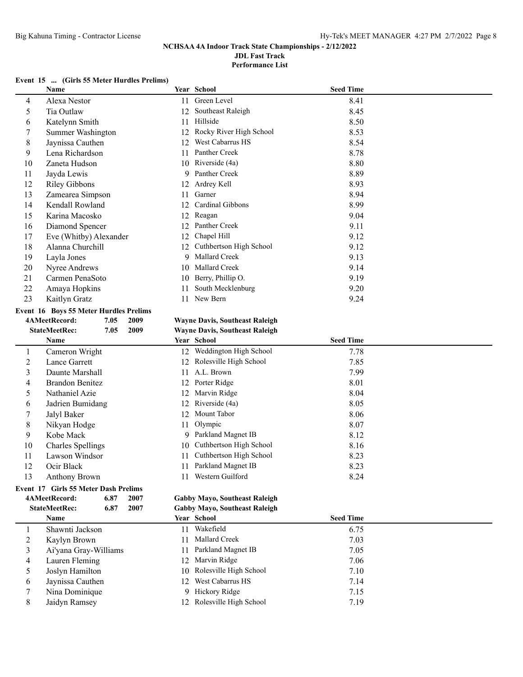**Performance List**

### **Event 15 ... (Girls 55 Meter Hurdles Prelims)**

|    | <b>Name</b>                                   |      | Year School                           | <b>Seed Time</b> |  |
|----|-----------------------------------------------|------|---------------------------------------|------------------|--|
| 4  | Alexa Nestor                                  | 11   | Green Level                           | 8.41             |  |
| 5. | Tia Outlaw                                    | 12   | Southeast Raleigh                     | 8.45             |  |
| 6  | Katelynn Smith                                | 11   | Hillside                              | 8.50             |  |
|    | Summer Washington                             | 12   | Rocky River High School               | 8.53             |  |
| 8  | Jaynissa Cauthen                              | 12   | West Cabarrus HS                      | 8.54             |  |
| 9  | Lena Richardson                               | 11   | Panther Creek                         | 8.78             |  |
| 10 | Zaneta Hudson                                 | 10   | Riverside (4a)                        | 8.80             |  |
| 11 | Jayda Lewis                                   | 9    | Panther Creek                         | 8.89             |  |
| 12 | <b>Riley Gibbons</b>                          | 12   | Ardrey Kell                           | 8.93             |  |
| 13 | Zamearea Simpson                              | 11   | Garner                                | 8.94             |  |
| 14 | Kendall Rowland                               | 12   | Cardinal Gibbons                      | 8.99             |  |
| 15 | Karina Macosko                                | 12   | Reagan                                | 9.04             |  |
| 16 | Diamond Spencer                               | 12   | Panther Creek                         | 9.11             |  |
| 17 | Eve (Whitby) Alexander                        | 12   | Chapel Hill                           | 9.12             |  |
| 18 | Alanna Churchill                              | 12   | Cuthbertson High School               | 9.12             |  |
| 19 | Layla Jones                                   | 9    | Mallard Creek                         | 9.13             |  |
| 20 | Nyree Andrews                                 | 10   | <b>Mallard Creek</b>                  | 9.14             |  |
| 21 | Carmen PenaSoto                               | 10   | Berry, Phillip O.                     | 9.19             |  |
| 22 | Amaya Hopkins                                 | 11   | South Mecklenburg                     | 9.20             |  |
| 23 | Kaitlyn Gratz                                 | 11   | New Bern                              | 9.24             |  |
|    | <b>Event 16 Boys 55 Meter Hurdles Prelims</b> |      |                                       |                  |  |
|    | 4AMeetRecord:<br>7.05                         | 2009 | <b>Wayne Davis, Southeast Raleigh</b> |                  |  |
|    | <b>StateMeetRec:</b><br>7.05                  | 2009 | <b>Wayne Davis, Southeast Raleigh</b> |                  |  |
|    | <b>Name</b>                                   |      | Year School                           | <b>Seed Time</b> |  |
|    | Cameron Wright                                |      | 12 Weddington High School             | 7.78             |  |

| 1  | Cameron Wright                       |               |      |  |  |  |  |  |
|----|--------------------------------------|---------------|------|--|--|--|--|--|
| 2  |                                      | Lance Garrett |      |  |  |  |  |  |
| 3  | Daunte Marshall                      |               |      |  |  |  |  |  |
| 4  | Brandon Benitez                      |               |      |  |  |  |  |  |
| 5  | Nathaniel Azie                       |               |      |  |  |  |  |  |
| 6  | Jadrien Bumidang                     |               |      |  |  |  |  |  |
| 7  | Jalyl Baker                          |               |      |  |  |  |  |  |
| 8  |                                      | Nikyan Hodge  |      |  |  |  |  |  |
| 9  | Kobe Mack                            |               |      |  |  |  |  |  |
| 10 | Charles Spellings                    |               |      |  |  |  |  |  |
| 11 | Lawson Windsor                       |               |      |  |  |  |  |  |
| 12 | Ocir Black                           |               |      |  |  |  |  |  |
| 13 | Anthony Brown                        |               |      |  |  |  |  |  |
|    | Event 17 Girls 55 Meter Dash Prelims |               |      |  |  |  |  |  |
|    | 4AMeetRecord:                        | 6.87          | 2007 |  |  |  |  |  |
|    | <b>StateMeetRec:</b>                 | 6.87          | 2007 |  |  |  |  |  |

|    | wawww.cure.<br>1.0J<br>499. |    | <i>vayne Davis, Southeast Karengin</i> |                  |  |
|----|-----------------------------|----|----------------------------------------|------------------|--|
|    | Name                        |    | Year School                            | <b>Seed Time</b> |  |
| 1  | Cameron Wright              |    | 12 Weddington High School              | 7.78             |  |
| 2  | Lance Garrett               |    | 12 Rolesville High School              | 7.85             |  |
| 3  | Daunte Marshall             | 11 | A.L. Brown                             | 7.99             |  |
| 4  | Brandon Benitez             |    | 12 Porter Ridge                        | 8.01             |  |
| 5  | Nathaniel Azie              |    | 12 Marvin Ridge                        | 8.04             |  |
| 6  | Jadrien Bumidang            |    | 12 Riverside (4a)                      | 8.05             |  |
| 7  | Jalyl Baker                 |    | 12 Mount Tabor                         | 8.06             |  |
| 8  | Nikyan Hodge                |    | 11 Olympic                             | 8.07             |  |
| 9  | Kobe Mack                   |    | 9 Parkland Magnet IB                   | 8.12             |  |
| 10 | Charles Spellings           |    | 10 Cuthbertson High School             | 8.16             |  |
| 11 | Lawson Windsor              | 11 | Cuthbertson High School                | 8.23             |  |
| 12 | Ocir Black                  | 11 | Parkland Magnet IB                     | 8.23             |  |
| 13 | <b>Anthony Brown</b>        |    | Western Guilford                       | 8.24             |  |

#### Gabby Mayo, Southeast Raleigh

| 007 |  | <b>Gabby Mayo, Southeast Raleigh</b> |
|-----|--|--------------------------------------|
|     |  |                                      |

|   | Name                  |     | <b>Year School</b>        | <b>Seed Time</b> |  |
|---|-----------------------|-----|---------------------------|------------------|--|
|   | Shawnti Jackson       |     | Wakefield                 | 6.75             |  |
|   | Kaylyn Brown          | 11. | Mallard Creek             | 7.03             |  |
|   | Ai'yana Gray-Williams | 11  | Parkland Magnet IB        | 7.05             |  |
| 4 | Lauren Fleming        |     | 12 Marvin Ridge           | 7.06             |  |
|   | Joslyn Hamilton       |     | 10 Rolesville High School | 7.10             |  |
| O | Jaynissa Cauthen      |     | 12 West Cabarrus HS       | 7.14             |  |
|   | Nina Dominique        | Q.  | Hickory Ridge             | 7.15             |  |
|   | Jaidyn Ramsey         |     | 12 Rolesville High School | 7.19             |  |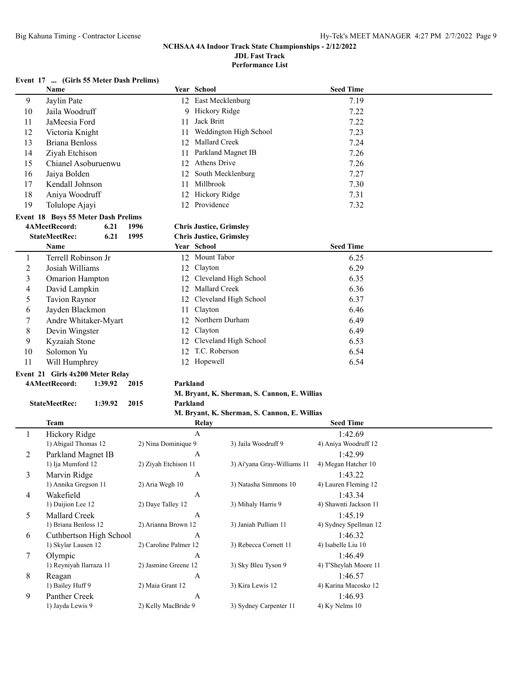**Performance List**

#### **Event 17 ... (Girls 55 Meter Dash Prelims)**

|                | Name                                |                       | Year School                                  | <b>Seed Time</b>      |  |
|----------------|-------------------------------------|-----------------------|----------------------------------------------|-----------------------|--|
| 9              | Jaylin Pate                         |                       | 12 East Mecklenburg                          | 7.19                  |  |
| 10             | Jaila Woodruff                      |                       | 9 Hickory Ridge                              | 7.22                  |  |
| 11             | JaMeesia Ford                       | 11                    | Jack Britt                                   | 7.22                  |  |
| 12             | Victoria Knight                     | 11                    | Weddington High School                       | 7.23                  |  |
| 13             | <b>Briana Benloss</b>               | 12                    | Mallard Creek                                | 7.24                  |  |
| 14             | Ziyah Etchison                      | 11                    | Parkland Magnet IB                           | 7.26                  |  |
| 15             | Chianel Asoburuenwu                 | 12                    | Athens Drive                                 | 7.26                  |  |
| 16             | Jaiya Bolden                        | 12                    | South Mecklenburg                            | 7.27                  |  |
| 17             | Kendall Johnson                     | 11                    | Millbrook                                    | 7.30                  |  |
| 18             | Aniya Woodruff                      | 12                    | Hickory Ridge                                | 7.31                  |  |
| 19             |                                     | 12                    | Providence                                   | 7.32                  |  |
|                | Tolulope Ajayi                      |                       |                                              |                       |  |
|                | Event 18 Boys 55 Meter Dash Prelims |                       |                                              |                       |  |
|                | 4AMeetRecord:<br>6.21               | 1996                  | <b>Chris Justice, Grimsley</b>               |                       |  |
|                | <b>StateMeetRec:</b><br>6.21        | 1995                  | <b>Chris Justice, Grimsley</b>               |                       |  |
|                | Name                                |                       | Year School                                  | <b>Seed Time</b>      |  |
| 1              | Terrell Robinson Jr                 |                       | 12 Mount Tabor                               | 6.25                  |  |
| $\overline{2}$ | Josiah Williams                     |                       | 12 Clayton                                   | 6.29                  |  |
| 3              | <b>Omarion Hampton</b>              |                       | 12 Cleveland High School                     | 6.35                  |  |
| 4              | David Lampkin                       |                       | 12 Mallard Creek                             | 6.36                  |  |
| 5              | <b>Tavion Raynor</b>                |                       | 12 Cleveland High School                     | 6.37                  |  |
| 6              | Jayden Blackmon                     | 11                    | Clayton                                      | 6.46                  |  |
| 7              | Andre Whitaker-Myart                |                       | 12 Northern Durham                           | 6.49                  |  |
| 8              | Devin Wingster                      | 12                    | Clayton                                      | 6.49                  |  |
| 9              | Kyzaiah Stone                       | 12                    | Cleveland High School                        | 6.53                  |  |
| 10             | Solomon Yu                          |                       | 12 T.C. Roberson                             | 6.54                  |  |
| 11             | Will Humphrey                       |                       | 12 Hopewell                                  | 6.54                  |  |
|                | Event 21 Girls 4x200 Meter Relay    |                       |                                              |                       |  |
|                | 4AMeetRecord:<br>1:39.92            | 2015<br>Parkland      |                                              |                       |  |
|                |                                     |                       | M. Bryant, K. Sherman, S. Cannon, E. Willias |                       |  |
|                | <b>StateMeetRec:</b><br>1:39.92     | 2015<br>Parkland      |                                              |                       |  |
|                |                                     |                       | M. Bryant, K. Sherman, S. Cannon, E. Willias |                       |  |
|                | <b>Team</b>                         |                       | Relay                                        | <b>Seed Time</b>      |  |
| 1              | Hickory Ridge                       |                       | $\mathbf{A}$                                 | 1:42.69               |  |
|                | 1) Abigail Thomas 12                | 2) Nina Dominique 9   | 3) Jaila Woodruff 9                          | 4) Aniya Woodruff 12  |  |
| 2              | Parkland Magnet IB                  |                       | A                                            | 1:42.99               |  |
|                | 1) Ija Mumford 12                   | 2) Ziyah Etchison 11  | 3) Ai'yana Gray-Williams 11                  | 4) Megan Hatcher 10   |  |
| 3              | Marvin Ridge                        |                       | $\mathbf{A}$                                 | 1:43.22               |  |
|                | 1) Annika Gregson 11                | 2) Aria Wegh 10       | 3) Natasha Simmons 10                        | 4) Lauren Fleming 12  |  |
| 4              | Wakefield                           |                       | $\boldsymbol{A}$                             | 1:43.34               |  |
|                | 1) Daijion Lee 12                   | 2) Daye Talley 12     | 3) Mihaly Harris 9                           | 4) Shawnti Jackson 11 |  |
| 5              | Mallard Creek                       |                       | $\boldsymbol{A}$                             | 1:45.19               |  |
|                | 1) Briana Benloss 12                | 2) Arianna Brown 12   | 3) Janiah Pulliam 11                         | 4) Sydney Spellman 12 |  |
| 6              | Cuthbertson High School             |                       | A                                            | 1:46.32               |  |
|                | 1) Skylar Lausen 12                 | 2) Caroline Palmer 12 | 3) Rebecca Cornett 11                        | 4) Isabelle Liu 10    |  |
| 7              | Olympic                             |                       | A                                            | 1:46.49               |  |
|                | 1) Reyniyah Ilarraza 11             | 2) Jasmine Greene 12  | 3) Sky Bleu Tyson 9                          | 4) T'Sheylah Moore 11 |  |
| 8              | Reagan                              |                       | A                                            | 1:46.57               |  |
|                | 1) Bailey Huff 9                    | 2) Maia Grant 12      | 3) Kira Lewis 12                             | 4) Karina Macosko 12  |  |
| 9              | Panther Creek                       |                       | A                                            | 1:46.93               |  |
|                | 1) Jayda Lewis 9                    | 2) Kelly MacBride 9   | 3) Sydney Carpenter 11                       | 4) Ky Nelms 10        |  |
|                |                                     |                       |                                              |                       |  |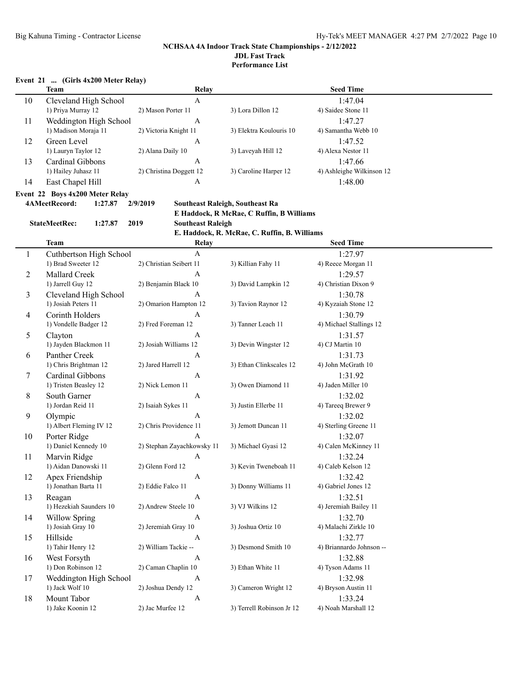### **Event 21 ... (Girls 4x200 Meter Relay)**

|              | <b>Team</b>                                    | Relay                              |                                              | <b>Seed Time</b>               |  |
|--------------|------------------------------------------------|------------------------------------|----------------------------------------------|--------------------------------|--|
| 10           | Cleveland High School<br>1) Priya Murray 12    | $\mathbf{A}$<br>2) Mason Porter 11 | 3) Lora Dillon 12                            | 1:47.04<br>4) Saidee Stone 11  |  |
| 11           | Weddington High School<br>1) Madison Moraja 11 | A<br>2) Victoria Knight 11         | 3) Elektra Koulouris 10                      | 1:47.27<br>4) Samantha Webb 10 |  |
| 12           | Green Level                                    | A                                  |                                              | 1:47.52                        |  |
|              | 1) Lauryn Taylor 12                            | 2) Alana Daily 10                  | 3) Laveyah Hill 12                           | 4) Alexa Nestor 11             |  |
| 13           | Cardinal Gibbons                               | A                                  |                                              | 1:47.66                        |  |
|              | 1) Hailey Juhasz 11                            | 2) Christina Doggett 12            | 3) Caroline Harper 12                        | 4) Ashleighe Wilkinson 12      |  |
| 14           | East Chapel Hill                               | A                                  |                                              | 1:48.00                        |  |
|              | Event 22 Boys 4x200 Meter Relay                |                                    |                                              |                                |  |
|              | 4AMeetRecord:<br>1:27.87                       | 2/9/2019                           | <b>Southeast Raleigh, Southeast Ra</b>       |                                |  |
|              |                                                |                                    | E Haddock, R McRae, C Ruffin, B Williams     |                                |  |
|              | <b>StateMeetRec:</b><br>1:27.87                | 2019<br><b>Southeast Raleigh</b>   |                                              |                                |  |
|              |                                                |                                    | E. Haddock, R. McRae, C. Ruffin, B. Williams |                                |  |
|              | <b>Team</b>                                    | Relay                              |                                              | <b>Seed Time</b>               |  |
| $\mathbf{1}$ | Cuthbertson High School                        | $\mathbf{A}$                       |                                              | 1:27.97                        |  |
|              | 1) Brad Sweeter 12                             | 2) Christian Seibert 11            | 3) Killian Fahy 11                           | 4) Reece Morgan 11             |  |
| 2            | Mallard Creek                                  | A                                  |                                              | 1:29.57                        |  |
|              | 1) Jarrell Guy 12                              | 2) Benjamin Black 10               | 3) David Lampkin 12                          | 4) Christian Dixon 9           |  |
| 3            | Cleveland High School                          | A                                  |                                              | 1:30.78                        |  |
|              | 1) Josiah Peters 11                            | 2) Omarion Hampton 12              | 3) Tavion Raynor 12                          | 4) Kyzaiah Stone 12            |  |
| 4            | Corinth Holders                                | A                                  |                                              | 1:30.79                        |  |
|              | 1) Vondelle Badger 12                          | 2) Fred Foreman 12                 | 3) Tanner Leach 11                           | 4) Michael Stallings 12        |  |
| 5            | Clayton                                        | A                                  |                                              | 1:31.57                        |  |
|              | 1) Jayden Blackmon 11                          | 2) Josiah Williams 12              | 3) Devin Wingster 12                         | 4) CJ Martin 10                |  |
| 6            | Panther Creek                                  | A                                  |                                              | 1:31.73                        |  |
|              | 1) Chris Brightman 12                          | 2) Jared Harrell 12                | 3) Ethan Clinkscales 12                      | 4) John McGrath 10             |  |
| 7            | Cardinal Gibbons                               | A                                  |                                              | 1:31.92                        |  |
|              | 1) Tristen Beasley 12                          | 2) Nick Lemon 11                   | 3) Owen Diamond 11                           | 4) Jaden Miller 10             |  |
| 8            | South Garner                                   | A                                  |                                              | 1:32.02                        |  |
|              | 1) Jordan Reid 11                              | 2) Isaiah Sykes 11                 | 3) Justin Ellerbe 11                         | 4) Tareeq Brewer 9             |  |
| 9            | Olympic                                        | A                                  |                                              | 1:32.02                        |  |
|              | 1) Albert Fleming IV 12                        | 2) Chris Providence 11             | 3) Jemott Duncan 11                          | 4) Sterling Greene 11          |  |
| 10           | Porter Ridge                                   | A                                  |                                              | 1:32.07                        |  |
|              | 1) Daniel Kennedy 10                           | 2) Stephan Zayachkowsky 11         | 3) Michael Gyasi 12                          | 4) Calen McKinney 11           |  |
| 11           | Marvin Ridge                                   | A                                  |                                              | 1:32.24                        |  |
|              | 1) Aidan Danowski 11                           | 2) Glenn Ford 12                   | 3) Kevin Tweneboah 11                        | 4) Caleb Kelson 12             |  |
| 12           | Apex Friendship                                | $\boldsymbol{A}$                   |                                              | 1:32.42                        |  |
|              | 1) Jonathan Barta 11                           | 2) Eddie Falco 11                  | 3) Donny Williams 11                         | 4) Gabriel Jones 12            |  |
| 13           | Reagan                                         | $\mathbf{A}$                       |                                              | 1:32.51                        |  |
|              | 1) Hezekiah Saunders 10                        | 2) Andrew Steele 10                | 3) VJ Wilkins 12                             | 4) Jeremiah Bailey 11          |  |
| 14           | <b>Willow Spring</b>                           | $\mathbf{A}$                       |                                              | 1:32.70                        |  |
|              | 1) Josiah Gray 10                              | 2) Jeremiah Gray 10                | 3) Joshua Ortiz 10                           | 4) Malachi Zirkle 10           |  |
| 15           | Hillside                                       | $\mathbf{A}$                       |                                              | 1:32.77                        |  |
|              | 1) Tahir Henry 12                              | 2) William Tackie --               | 3) Desmond Smith 10                          | 4) Briannardo Johnson --       |  |
| 16           | West Forsyth                                   | $\mathbf{A}$                       |                                              | 1:32.88                        |  |
|              | 1) Don Robinson 12                             | 2) Caman Chaplin 10                | 3) Ethan White 11                            | 4) Tyson Adams 11              |  |
| 17           | Weddington High School                         | $\mathbf{A}$                       |                                              | 1:32.98                        |  |
|              | 1) Jack Wolf 10                                | 2) Joshua Dendy 12                 | 3) Cameron Wright 12                         | 4) Bryson Austin 11            |  |
| 18           | Mount Tabor                                    | $\boldsymbol{\rm{A}}$              |                                              | 1:33.24                        |  |
|              | 1) Jake Koonin 12                              | 2) Jac Murfee 12                   | 3) Terrell Robinson Jr 12                    | 4) Noah Marshall 12            |  |
|              |                                                |                                    |                                              |                                |  |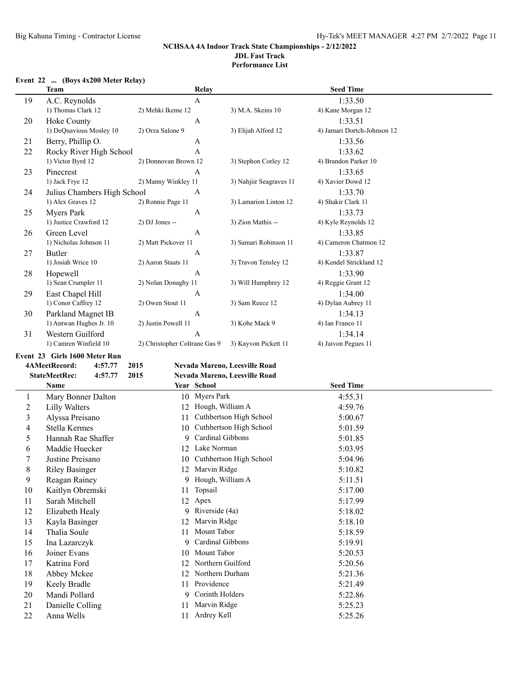**Performance List**

### **Event 22 ... (Boys 4x200 Meter Relay)**

|                | <b>Team</b>                     | Relay                             |                               | <b>Seed Time</b>            |  |
|----------------|---------------------------------|-----------------------------------|-------------------------------|-----------------------------|--|
| 19             | A.C. Reynolds                   | A                                 |                               | 1:33.50                     |  |
|                | 1) Thomas Clark 12              | 2) Mehki Ikeme 12                 | 3) M.A. Skeins 10             | 4) Kane Morgan 12           |  |
| 20             | Hoke County                     | A                                 |                               | 1:33.51                     |  |
|                | 1) DeQuavious Mosley 10         | 2) Orza Salone 9                  | 3) Elijah Alford 12           | 4) Jamari Dortch-Johnson 12 |  |
| 21             | Berry, Phillip O.               | A                                 |                               | 1:33.56                     |  |
| 22             | Rocky River High School         | $\mathbf{A}$                      |                               | 1:33.62                     |  |
|                | 1) Victor Byrd 12               | 2) Donnovan Brown 12              | 3) Stephon Corley 12          | 4) Brandon Parker 10        |  |
| 23             | Pinecrest                       | A                                 |                               | 1:33.65                     |  |
|                | 1) Jack Frye 12                 | 2) Manny Winkley 11               | 3) Nahjiir Seagraves 11       | 4) Xavier Dowd 12           |  |
| 24             | Julius Chambers High School     | A                                 |                               | 1:33.70                     |  |
|                | 1) Alex Graves 12               | 2) Ronnie Page 11                 | 3) Lamarion Linton 12         | 4) Shakir Clark 11          |  |
| 25             | <b>Myers Park</b>               | A                                 |                               | 1:33.73                     |  |
|                | 1) Justice Crawford 12          | 2) DJ Jones --                    | 3) Zion Mathis --             | 4) Kyle Reynolds 12         |  |
| 26             | Green Level                     | A                                 |                               | 1:33.85                     |  |
|                | 1) Nicholas Johnson 11          | 2) Matt Pickover 11               | 3) Samari Robinson 11         | 4) Cameron Chatmon 12       |  |
| 27             | Butler                          | A                                 |                               | 1:33.87                     |  |
|                | 1) Josiah Wrice 10              | 2) Aaron Staats 11                | 3) Travon Tensley 12          | 4) Kendel Strickland 12     |  |
| 28             | Hopewell                        | A                                 |                               | 1:33.90                     |  |
|                | 1) Sean Crumpler 11             | 2) Nolan Donaghy 11               | 3) Will Humphrey 12           | 4) Reggie Grant 12          |  |
| 29             | East Chapel Hill                | A                                 |                               | 1:34.00                     |  |
|                | 1) Conor Caffrey 12             | 2) Owen Stout 11                  | 3) Sam Reece 12               | 4) Dylan Aubrey 11          |  |
| 30             | Parkland Magnet IB              | A                                 |                               | 1:34.13                     |  |
|                | 1) Antwan Hughes Jr. 10         | 2) Justin Powell 11               | 3) Kobe Mack 9                | 4) Ian Franco 11            |  |
| 31             | Western Guilford                | A                                 |                               | 1:34.14                     |  |
|                | 1) Camren Winfield 10           | 2) Christopher Coltrane Gas 9     | 3) Kayvon Pickett 11          | 4) Jaivon Pegues 11         |  |
|                | Event 23 Girls 1600 Meter Run   |                                   |                               |                             |  |
|                | 4AMeetRecord:<br>4:57.77        | 2015                              | Nevada Mareno, Leesville Road |                             |  |
|                | <b>StateMeetRec:</b><br>4:57.77 | 2015                              | Nevada Mareno, Leesville Road |                             |  |
|                | Name                            | Year School                       |                               | <b>Seed Time</b>            |  |
| $\mathbf{1}$   | Mary Bonner Dalton              | 10 Myers Park                     |                               | 4:55.31                     |  |
| $\overline{c}$ | <b>Lilly Walters</b>            | 12 Hough, William A               |                               | 4:59.76                     |  |
| 3              | Alyssa Preisano                 | 11                                | Cuthbertson High School       | 5:00.67                     |  |
| 4              | Stella Kermes                   | 10                                | Cuthbertson High School       | 5:01.59                     |  |
| 5              | Hannah Rae Shaffer              | Cardinal Gibbons<br>9.            |                               | 5:01.85                     |  |
| 6              | Maddie Huecker                  | 12 Lake Norman                    |                               | 5:03.95                     |  |
| 7              | Justine Preisano                |                                   | 10 Cuthbertson High School    | 5:04.96                     |  |
| $\,$ $\,$      | <b>Riley Basinger</b>           | 12 Marvin Ridge                   |                               | 5:10.82                     |  |
| 9              | Reagan Rainey                   | Hough, William A<br>9             |                               | 5:11.51                     |  |
| 10             | Kaitlyn Obremski                | Topsail<br>11                     |                               | 5:17.00                     |  |
| 11             | Sarah Mitchell                  | 12 Apex                           |                               | 5:17.99                     |  |
| 12             | Elizabeth Healy                 | Riverside (4a)<br>9               |                               | 5:18.02                     |  |
| 13             | Kayla Basinger                  | Marvin Ridge<br>12                |                               | 5:18.10                     |  |
| 14             | Thalia Soule                    | Mount Tabor<br>11                 |                               | 5:18.59                     |  |
|                |                                 | Cardinal Gibbons<br>9             |                               |                             |  |
| 15             | Ina Lazarczyk<br>Joiner Evans   | Mount Tabor                       |                               | 5:19.91                     |  |
| 16             |                                 | 10<br>12 Northern Guilford        |                               | 5:20.53                     |  |
| 17             | Katrina Ford                    | 12 Northern Durham                |                               | 5:20.56                     |  |
| 18             | Abbey Mckee                     |                                   |                               | 5:21.36                     |  |
| 19             |                                 |                                   |                               |                             |  |
|                | Keely Bradle                    | 11 Providence                     |                               | 5:21.49                     |  |
| 20             | Mandi Pollard                   | Corinth Holders<br>9              |                               | 5:22.86                     |  |
| 21<br>22       | Danielle Colling<br>Anna Wells  | 11 Marvin Ridge<br>11 Ardrey Kell |                               | 5:25.23<br>5:25.26          |  |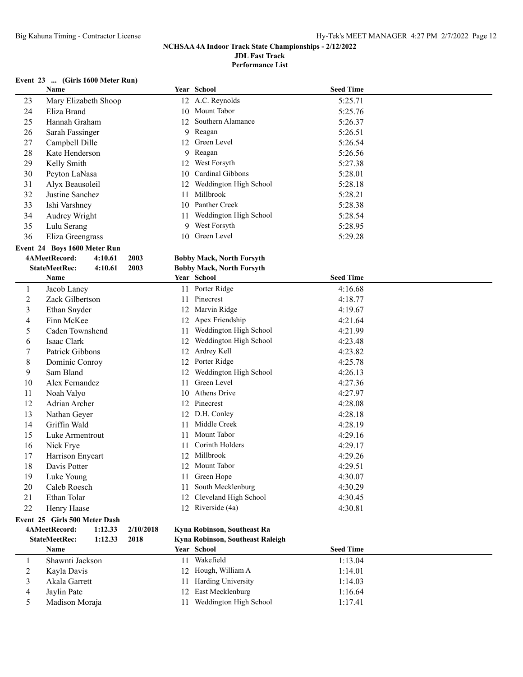**Performance List**

### **Event 23 ... (Girls 1600 Meter Run)**

|    | Name                            |           | Year School                      | <b>Seed Time</b> |  |
|----|---------------------------------|-----------|----------------------------------|------------------|--|
| 23 | Mary Elizabeth Shoop            |           | 12 A.C. Reynolds                 | 5:25.71          |  |
| 24 | Eliza Brand                     |           | 10 Mount Tabor                   | 5:25.76          |  |
| 25 | Hannah Graham                   | 12        | Southern Alamance                | 5:26.37          |  |
| 26 | Sarah Fassinger                 |           | 9 Reagan                         | 5:26.51          |  |
| 27 | Campbell Dille                  |           | 12 Green Level                   | 5:26.54          |  |
| 28 | Kate Henderson                  | 9         | Reagan                           | 5:26.56          |  |
| 29 | Kelly Smith                     | 12        | West Forsyth                     | 5:27.38          |  |
| 30 | Peyton LaNasa                   | 10        | Cardinal Gibbons                 | 5:28.01          |  |
| 31 | Alyx Beausoleil                 | 12        | Weddington High School           | 5:28.18          |  |
| 32 | Justine Sanchez                 | 11        | Millbrook                        | 5:28.21          |  |
| 33 | Ishi Varshney                   | 10        | Panther Creek                    | 5:28.38          |  |
| 34 | Audrey Wright                   | 11        | Weddington High School           | 5:28.54          |  |
| 35 | Lulu Serang                     | 9         | West Forsyth                     | 5:28.95          |  |
| 36 | Eliza Greengrass                |           | 10 Green Level                   | 5:29.28          |  |
|    | Event 24 Boys 1600 Meter Run    |           |                                  |                  |  |
|    | 4AMeetRecord:<br>4:10.61        | 2003      | <b>Bobby Mack, North Forsyth</b> |                  |  |
|    | <b>StateMeetRec:</b><br>4:10.61 | 2003      | <b>Bobby Mack, North Forsyth</b> |                  |  |
|    | Name                            |           | Year School                      | <b>Seed Time</b> |  |
| 1  | Jacob Laney                     |           | 11 Porter Ridge                  | 4:16.68          |  |
| 2  | Zack Gilbertson                 | 11        | Pinecrest                        | 4:18.77          |  |
| 3  | Ethan Snyder                    |           | 12 Marvin Ridge                  | 4:19.67          |  |
| 4  | Finn McKee                      | 12        | Apex Friendship                  | 4:21.64          |  |
| 5  | Caden Townshend                 | 11        | Weddington High School           | 4:21.99          |  |
| 6  | Isaac Clark                     | 12        | Weddington High School           | 4:23.48          |  |
| 7  | Patrick Gibbons                 | 12        | Ardrey Kell                      | 4:23.82          |  |
| 8  | Dominic Conroy                  |           | 12 Porter Ridge                  | 4:25.78          |  |
| 9  | Sam Bland                       | 12        | Weddington High School           | 4:26.13          |  |
| 10 | Alex Fernandez                  | 11        | Green Level                      | 4:27.36          |  |
| 11 | Noah Valyo                      |           | 10 Athens Drive                  | 4:27.97          |  |
| 12 | Adrian Archer                   |           | 12 Pinecrest                     | 4:28.08          |  |
| 13 | Nathan Geyer                    |           | 12 D.H. Conley                   | 4:28.18          |  |
| 14 | Griffin Wald                    | 11        | Middle Creek                     | 4:28.19          |  |
| 15 | Luke Armentrout                 | 11        | Mount Tabor                      | 4:29.16          |  |
| 16 | Nick Frye                       | 11        | Corinth Holders                  | 4:29.17          |  |
| 17 | Harrison Enyeart                | 12        | Millbrook                        | 4:29.26          |  |
| 18 | Davis Potter                    |           | 12 Mount Tabor                   | 4:29.51          |  |
| 19 | Luke Young                      | 11        | Green Hope                       | 4:30.07          |  |
| 20 | Caleb Roesch                    | 11        | South Mecklenburg                | 4:30.29          |  |
| 21 | Ethan Tolar                     | 12        | Cleveland High School            | 4:30.45          |  |
| 22 | Henry Haase                     |           | 12 Riverside (4a)                | 4:30.81          |  |
|    | Event 25 Girls 500 Meter Dash   |           |                                  |                  |  |
|    | 4AMeetRecord:<br>1:12.33        | 2/10/2018 | Kyna Robinson, Southeast Ra      |                  |  |
|    | <b>StateMeetRec:</b><br>1:12.33 | 2018      | Kyna Robinson, Southeast Raleigh |                  |  |
|    | Name                            |           | Year School                      | <b>Seed Time</b> |  |
| 1  | Shawnti Jackson                 | 11        | Wakefield                        | 1:13.04          |  |
| 2  | Kayla Davis                     |           | 12 Hough, William A              | 1:14.01          |  |
| 3  | Akala Garrett                   | 11        | Harding University               | 1:14.03          |  |
| 4  | Jaylin Pate                     | 12        | East Mecklenburg                 | 1:16.64          |  |
| 5  | Madison Moraja                  | 11        | Weddington High School           | 1:17.41          |  |
|    |                                 |           |                                  |                  |  |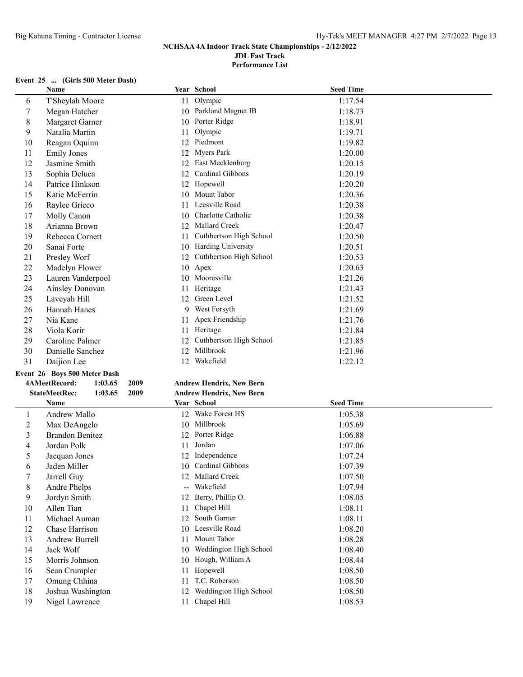**Performance List**

### **Event 25 ... (Girls 500 Meter Dash)**

|                          | Name                                    |    | Year School                              | <b>Seed Time</b>   |
|--------------------------|-----------------------------------------|----|------------------------------------------|--------------------|
| 6                        | T'Sheylah Moore                         | 11 | Olympic                                  | 1:17.54            |
| 7                        | Megan Hatcher                           |    | 10 Parkland Magnet IB                    | 1:18.73            |
| 8                        | Margaret Garner                         |    | 10 Porter Ridge                          | 1:18.91            |
| 9                        | Natalia Martin                          | 11 | Olympic                                  | 1:19.71            |
| 10                       | Reagan Oquinn                           |    | 12 Piedmont                              | 1:19.82            |
| 11                       | <b>Emily Jones</b>                      |    | 12 Myers Park                            | 1:20.00            |
| 12                       | Jasmine Smith                           |    | 12 East Mecklenburg                      | 1:20.15            |
| 13                       | Sophia Deluca                           | 12 | Cardinal Gibbons                         | 1:20.19            |
| 14                       | Patrice Hinkson                         |    | 12 Hopewell                              | 1:20.20            |
| 15                       | Katie McFerrin                          | 10 | Mount Tabor                              | 1:20.36            |
| 16                       | Raylee Grieco                           | 11 | Leesville Road                           | 1:20.38            |
| 17                       | Molly Canon                             | 10 | Charlotte Catholic                       | 1:20.38            |
| 18                       | Arianna Brown                           | 12 | Mallard Creek                            | 1:20.47            |
| 19                       | Rebecca Cornett                         | 11 | Cuthbertson High School                  | 1:20.50            |
| 20                       | Sanai Forte                             |    | 10 Harding University                    | 1:20.51            |
| 21                       | Presley Worf                            | 12 | Cuthbertson High School                  | 1:20.53            |
| 22                       | Madelyn Flower                          |    | 10 Apex                                  | 1:20.63            |
| 23                       | Lauren Vanderpool                       |    | 10 Mooresville                           | 1:21.26            |
| 24                       | Ainsley Donovan                         | 11 | Heritage                                 | 1:21.43            |
| 25                       | Laveyah Hill                            |    | 12 Green Level                           | 1:21.52            |
| 26                       | <b>Hannah Hanes</b>                     |    | 9 West Forsyth                           | 1:21.69            |
| 27                       | Nia Kane                                | 11 | Apex Friendship                          | 1:21.76            |
| 28                       | Viola Korir                             |    | 11 Heritage                              | 1:21.84            |
| 29                       | Caroline Palmer                         | 12 | Cuthbertson High School                  | 1:21.85            |
| 30                       | Danielle Sanchez                        | 12 | Millbrook                                | 1:21.96            |
| 31                       | Daijion Lee                             |    | 12 Wakefield                             | 1:22.12            |
|                          | Event 26 Boys 500 Meter Dash            |    |                                          |                    |
|                          | 4AMeetRecord:<br>1:03.65<br>2009        |    | <b>Andrew Hendrix, New Bern</b>          |                    |
|                          | <b>StateMeetRec:</b><br>2009<br>1:03.65 |    | <b>Andrew Hendrix, New Bern</b>          |                    |
|                          | Name                                    |    | Year School                              |                    |
| $\mathbf{1}$             |                                         |    |                                          |                    |
|                          |                                         |    |                                          | <b>Seed Time</b>   |
|                          | Andrew Mallo                            |    | 12 Wake Forest HS                        | 1:05.38            |
| $\overline{c}$           | Max DeAngelo                            |    | 10 Millbrook                             | 1:05.69            |
| 3                        | <b>Brandon Benitez</b>                  |    | 12 Porter Ridge                          | 1:06.88            |
| $\overline{\mathcal{A}}$ | Jordan Polk                             | 11 | Jordan                                   | 1:07.06            |
| 5                        | Jaequan Jones                           | 12 | Independence                             | 1:07.24            |
| 6                        | Jaden Miller                            |    | 10 Cardinal Gibbons                      | 1:07.39            |
| 7                        | Jarrell Guy                             |    | 12 Mallard Creek                         | 1:07.50            |
| 8                        | Andre Phelps                            |    | Wakefield                                | 1:07.94            |
| 9                        | Jordyn Smith                            | 12 | Berry, Phillip O.                        | 1:08.05            |
| 10                       | Allen Tian                              | 11 | Chapel Hill                              | 1:08.11            |
| 11                       | Michael Auman                           | 12 | South Garner                             | 1:08.11            |
| 12                       | Chase Harrison                          | 10 | Leesville Road                           | 1:08.20            |
| 13                       | Andrew Burrell                          | 11 | Mount Tabor                              | 1:08.28            |
| 14                       | Jack Wolf                               |    | 10 Weddington High School                | 1:08.40            |
| 15                       | Morris Johnson                          |    | 10 Hough, William A                      | 1:08.44            |
| 16                       | Sean Crumpler                           | 11 | Hopewell                                 | 1:08.50            |
| 17                       | Omung Chhina                            | 11 | T.C. Roberson                            | 1:08.50            |
| 18<br>19                 | Joshua Washington<br>Nigel Lawrence     | 11 | 12 Weddington High School<br>Chapel Hill | 1:08.50<br>1:08.53 |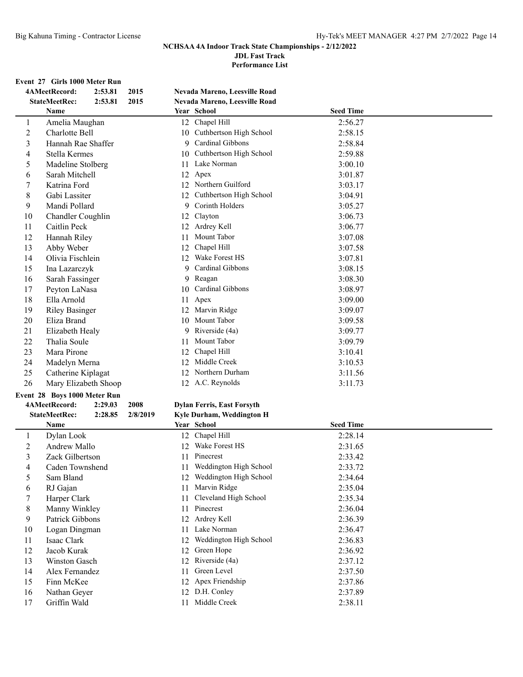## **NCHSAA 4A Indoor Track State Championships - 2/12/2022**

**JDL Fast Track**

**Performance List**

#### **Event 27 Girls 1000 Meter Run**

| <b>StateMeetRec:</b><br>2:53.81<br>2015<br>Nevada Mareno, Leesville Road<br><b>Seed Time</b><br>Name<br>Year School<br>12 Chapel Hill<br>2:56.27<br>$\mathbf{1}$<br>Amelia Maughan<br>Cuthbertson High School<br>$\overline{c}$<br>Charlotte Bell<br>2:58.15<br>10<br>3<br>Cardinal Gibbons<br>Hannah Rae Shaffer<br>2:58.84<br>9<br>4<br>Cuthbertson High School<br>2:59.88<br>Stella Kermes<br>10<br>5<br>11 Lake Norman<br>Madeline Stolberg<br>3:00.10<br>6<br>Sarah Mitchell<br>12 Apex<br>3:01.87<br>12 Northern Guilford<br>7<br>Katrina Ford<br>3:03.17<br>$\,$ 8 $\,$<br>Gabi Lassiter<br>12 Cuthbertson High School<br>3:04.91<br>Corinth Holders<br>9<br>Mandi Pollard<br>9<br>3:05.27<br>10<br>3:06.73<br>Chandler Coughlin<br>12<br>Clayton<br>11<br>Caitlin Peck<br>Ardrey Kell<br>3:06.77<br>12<br>Mount Tabor<br>12<br>Hannah Riley<br>3:07.08<br>11<br>13<br>Chapel Hill<br>Abby Weber<br>12<br>3:07.58<br>Wake Forest HS<br>14<br>Olivia Fischlein<br>12<br>3:07.81<br>Cardinal Gibbons<br>15<br>9<br>3:08.15<br>Ina Lazarczyk<br>16<br>Sarah Fassinger<br>9<br>Reagan<br>3:08.30<br>Cardinal Gibbons<br>17<br>3:08.97<br>Peyton LaNasa<br>10<br>18<br>Ella Arnold<br>Apex<br>3:09.00<br>11<br>19<br>Marvin Ridge<br><b>Riley Basinger</b><br>12<br>3:09.07<br>20<br>Mount Tabor<br>Eliza Brand<br>3:09.58<br>10<br>21<br>Riverside (4a)<br>Elizabeth Healy<br>3:09.77<br>9.<br>22<br>Thalia Soule<br>Mount Tabor<br>3:09.79<br>11<br>12 Chapel Hill<br>23<br>Mara Pirone<br>3:10.41<br>24<br>12 Middle Creek<br>Madelyn Merna<br>3:10.53<br>25<br>12 Northern Durham<br>Catherine Kiplagat<br>3:11.56<br>12 A.C. Reynolds<br>26<br>Mary Elizabeth Shoop<br>3:11.73<br>Event 28 Boys 1000 Meter Run<br>4AMeetRecord:<br>2:29.03<br>2008<br><b>Dylan Ferris, East Forsyth</b><br>Kyle Durham, Weddington H<br><b>StateMeetRec:</b><br>2:28.85<br>2/8/2019<br><b>Seed Time</b><br>Name<br>Year School<br>12 Chapel Hill<br>2:28.14<br>$\mathbf{1}$<br>Dylan Look<br>$\overline{c}$<br>Wake Forest HS<br>Andrew Mallo<br>12<br>2:31.65<br>Pinecrest<br>3<br>Zack Gilbertson<br>2:33.42<br>11<br>11 Weddington High School<br>4<br>Caden Townshend<br>2:33.72<br>12 Weddington High School<br>5<br>Sam Bland<br>2:34.64<br>6<br>Marvin Ridge<br>RJ Gajan<br>2:35.04<br>11<br>Cleveland High School<br>7<br>Harper Clark<br>2:35.34<br>11<br>$8\,$<br>Pinecrest<br>Manny Winkley<br>2:36.04<br>11<br>Patrick Gibbons<br>Ardrey Kell<br>9<br>2:36.39<br>12<br>Lake Norman<br>10<br>Logan Dingman<br>11<br>2:36.47<br>Weddington High School<br>11<br>Isaac Clark<br>2:36.83<br>12<br>12<br>Green Hope<br>Jacob Kurak<br>12<br>2:36.92<br>13<br>Riverside (4a)<br>Winston Gasch<br>2:37.12<br>12<br>Green Level<br>14<br>Alex Fernandez<br>2:37.50<br>11<br>15<br>Apex Friendship<br>Finn McKee<br>2:37.86<br>12<br>12 D.H. Conley<br>16<br>Nathan Geyer<br>2:37.89<br>11 Middle Creek |    | 4AMeetRecord:<br>2:53.81 | 2015 | Nevada Mareno, Leesville Road |         |
|---------------------------------------------------------------------------------------------------------------------------------------------------------------------------------------------------------------------------------------------------------------------------------------------------------------------------------------------------------------------------------------------------------------------------------------------------------------------------------------------------------------------------------------------------------------------------------------------------------------------------------------------------------------------------------------------------------------------------------------------------------------------------------------------------------------------------------------------------------------------------------------------------------------------------------------------------------------------------------------------------------------------------------------------------------------------------------------------------------------------------------------------------------------------------------------------------------------------------------------------------------------------------------------------------------------------------------------------------------------------------------------------------------------------------------------------------------------------------------------------------------------------------------------------------------------------------------------------------------------------------------------------------------------------------------------------------------------------------------------------------------------------------------------------------------------------------------------------------------------------------------------------------------------------------------------------------------------------------------------------------------------------------------------------------------------------------------------------------------------------------------------------------------------------------------------------------------------------------------------------------------------------------------------------------------------------------------------------------------------------------------------------------------------------------------------------------------------------------------------------------------------------------------------------------------------------------------------------------------------------------------------------------------------------------------------------------------------------------------------------------------------------------------------------------------------------------------------------------------------------------------------------------|----|--------------------------|------|-------------------------------|---------|
|                                                                                                                                                                                                                                                                                                                                                                                                                                                                                                                                                                                                                                                                                                                                                                                                                                                                                                                                                                                                                                                                                                                                                                                                                                                                                                                                                                                                                                                                                                                                                                                                                                                                                                                                                                                                                                                                                                                                                                                                                                                                                                                                                                                                                                                                                                                                                                                                                                                                                                                                                                                                                                                                                                                                                                                                                                                                                                   |    |                          |      |                               |         |
|                                                                                                                                                                                                                                                                                                                                                                                                                                                                                                                                                                                                                                                                                                                                                                                                                                                                                                                                                                                                                                                                                                                                                                                                                                                                                                                                                                                                                                                                                                                                                                                                                                                                                                                                                                                                                                                                                                                                                                                                                                                                                                                                                                                                                                                                                                                                                                                                                                                                                                                                                                                                                                                                                                                                                                                                                                                                                                   |    |                          |      |                               |         |
|                                                                                                                                                                                                                                                                                                                                                                                                                                                                                                                                                                                                                                                                                                                                                                                                                                                                                                                                                                                                                                                                                                                                                                                                                                                                                                                                                                                                                                                                                                                                                                                                                                                                                                                                                                                                                                                                                                                                                                                                                                                                                                                                                                                                                                                                                                                                                                                                                                                                                                                                                                                                                                                                                                                                                                                                                                                                                                   |    |                          |      |                               |         |
|                                                                                                                                                                                                                                                                                                                                                                                                                                                                                                                                                                                                                                                                                                                                                                                                                                                                                                                                                                                                                                                                                                                                                                                                                                                                                                                                                                                                                                                                                                                                                                                                                                                                                                                                                                                                                                                                                                                                                                                                                                                                                                                                                                                                                                                                                                                                                                                                                                                                                                                                                                                                                                                                                                                                                                                                                                                                                                   |    |                          |      |                               |         |
|                                                                                                                                                                                                                                                                                                                                                                                                                                                                                                                                                                                                                                                                                                                                                                                                                                                                                                                                                                                                                                                                                                                                                                                                                                                                                                                                                                                                                                                                                                                                                                                                                                                                                                                                                                                                                                                                                                                                                                                                                                                                                                                                                                                                                                                                                                                                                                                                                                                                                                                                                                                                                                                                                                                                                                                                                                                                                                   |    |                          |      |                               |         |
|                                                                                                                                                                                                                                                                                                                                                                                                                                                                                                                                                                                                                                                                                                                                                                                                                                                                                                                                                                                                                                                                                                                                                                                                                                                                                                                                                                                                                                                                                                                                                                                                                                                                                                                                                                                                                                                                                                                                                                                                                                                                                                                                                                                                                                                                                                                                                                                                                                                                                                                                                                                                                                                                                                                                                                                                                                                                                                   |    |                          |      |                               |         |
|                                                                                                                                                                                                                                                                                                                                                                                                                                                                                                                                                                                                                                                                                                                                                                                                                                                                                                                                                                                                                                                                                                                                                                                                                                                                                                                                                                                                                                                                                                                                                                                                                                                                                                                                                                                                                                                                                                                                                                                                                                                                                                                                                                                                                                                                                                                                                                                                                                                                                                                                                                                                                                                                                                                                                                                                                                                                                                   |    |                          |      |                               |         |
|                                                                                                                                                                                                                                                                                                                                                                                                                                                                                                                                                                                                                                                                                                                                                                                                                                                                                                                                                                                                                                                                                                                                                                                                                                                                                                                                                                                                                                                                                                                                                                                                                                                                                                                                                                                                                                                                                                                                                                                                                                                                                                                                                                                                                                                                                                                                                                                                                                                                                                                                                                                                                                                                                                                                                                                                                                                                                                   |    |                          |      |                               |         |
|                                                                                                                                                                                                                                                                                                                                                                                                                                                                                                                                                                                                                                                                                                                                                                                                                                                                                                                                                                                                                                                                                                                                                                                                                                                                                                                                                                                                                                                                                                                                                                                                                                                                                                                                                                                                                                                                                                                                                                                                                                                                                                                                                                                                                                                                                                                                                                                                                                                                                                                                                                                                                                                                                                                                                                                                                                                                                                   |    |                          |      |                               |         |
|                                                                                                                                                                                                                                                                                                                                                                                                                                                                                                                                                                                                                                                                                                                                                                                                                                                                                                                                                                                                                                                                                                                                                                                                                                                                                                                                                                                                                                                                                                                                                                                                                                                                                                                                                                                                                                                                                                                                                                                                                                                                                                                                                                                                                                                                                                                                                                                                                                                                                                                                                                                                                                                                                                                                                                                                                                                                                                   |    |                          |      |                               |         |
|                                                                                                                                                                                                                                                                                                                                                                                                                                                                                                                                                                                                                                                                                                                                                                                                                                                                                                                                                                                                                                                                                                                                                                                                                                                                                                                                                                                                                                                                                                                                                                                                                                                                                                                                                                                                                                                                                                                                                                                                                                                                                                                                                                                                                                                                                                                                                                                                                                                                                                                                                                                                                                                                                                                                                                                                                                                                                                   |    |                          |      |                               |         |
|                                                                                                                                                                                                                                                                                                                                                                                                                                                                                                                                                                                                                                                                                                                                                                                                                                                                                                                                                                                                                                                                                                                                                                                                                                                                                                                                                                                                                                                                                                                                                                                                                                                                                                                                                                                                                                                                                                                                                                                                                                                                                                                                                                                                                                                                                                                                                                                                                                                                                                                                                                                                                                                                                                                                                                                                                                                                                                   |    |                          |      |                               |         |
|                                                                                                                                                                                                                                                                                                                                                                                                                                                                                                                                                                                                                                                                                                                                                                                                                                                                                                                                                                                                                                                                                                                                                                                                                                                                                                                                                                                                                                                                                                                                                                                                                                                                                                                                                                                                                                                                                                                                                                                                                                                                                                                                                                                                                                                                                                                                                                                                                                                                                                                                                                                                                                                                                                                                                                                                                                                                                                   |    |                          |      |                               |         |
|                                                                                                                                                                                                                                                                                                                                                                                                                                                                                                                                                                                                                                                                                                                                                                                                                                                                                                                                                                                                                                                                                                                                                                                                                                                                                                                                                                                                                                                                                                                                                                                                                                                                                                                                                                                                                                                                                                                                                                                                                                                                                                                                                                                                                                                                                                                                                                                                                                                                                                                                                                                                                                                                                                                                                                                                                                                                                                   |    |                          |      |                               |         |
|                                                                                                                                                                                                                                                                                                                                                                                                                                                                                                                                                                                                                                                                                                                                                                                                                                                                                                                                                                                                                                                                                                                                                                                                                                                                                                                                                                                                                                                                                                                                                                                                                                                                                                                                                                                                                                                                                                                                                                                                                                                                                                                                                                                                                                                                                                                                                                                                                                                                                                                                                                                                                                                                                                                                                                                                                                                                                                   |    |                          |      |                               |         |
|                                                                                                                                                                                                                                                                                                                                                                                                                                                                                                                                                                                                                                                                                                                                                                                                                                                                                                                                                                                                                                                                                                                                                                                                                                                                                                                                                                                                                                                                                                                                                                                                                                                                                                                                                                                                                                                                                                                                                                                                                                                                                                                                                                                                                                                                                                                                                                                                                                                                                                                                                                                                                                                                                                                                                                                                                                                                                                   |    |                          |      |                               |         |
|                                                                                                                                                                                                                                                                                                                                                                                                                                                                                                                                                                                                                                                                                                                                                                                                                                                                                                                                                                                                                                                                                                                                                                                                                                                                                                                                                                                                                                                                                                                                                                                                                                                                                                                                                                                                                                                                                                                                                                                                                                                                                                                                                                                                                                                                                                                                                                                                                                                                                                                                                                                                                                                                                                                                                                                                                                                                                                   |    |                          |      |                               |         |
|                                                                                                                                                                                                                                                                                                                                                                                                                                                                                                                                                                                                                                                                                                                                                                                                                                                                                                                                                                                                                                                                                                                                                                                                                                                                                                                                                                                                                                                                                                                                                                                                                                                                                                                                                                                                                                                                                                                                                                                                                                                                                                                                                                                                                                                                                                                                                                                                                                                                                                                                                                                                                                                                                                                                                                                                                                                                                                   |    |                          |      |                               |         |
|                                                                                                                                                                                                                                                                                                                                                                                                                                                                                                                                                                                                                                                                                                                                                                                                                                                                                                                                                                                                                                                                                                                                                                                                                                                                                                                                                                                                                                                                                                                                                                                                                                                                                                                                                                                                                                                                                                                                                                                                                                                                                                                                                                                                                                                                                                                                                                                                                                                                                                                                                                                                                                                                                                                                                                                                                                                                                                   |    |                          |      |                               |         |
|                                                                                                                                                                                                                                                                                                                                                                                                                                                                                                                                                                                                                                                                                                                                                                                                                                                                                                                                                                                                                                                                                                                                                                                                                                                                                                                                                                                                                                                                                                                                                                                                                                                                                                                                                                                                                                                                                                                                                                                                                                                                                                                                                                                                                                                                                                                                                                                                                                                                                                                                                                                                                                                                                                                                                                                                                                                                                                   |    |                          |      |                               |         |
|                                                                                                                                                                                                                                                                                                                                                                                                                                                                                                                                                                                                                                                                                                                                                                                                                                                                                                                                                                                                                                                                                                                                                                                                                                                                                                                                                                                                                                                                                                                                                                                                                                                                                                                                                                                                                                                                                                                                                                                                                                                                                                                                                                                                                                                                                                                                                                                                                                                                                                                                                                                                                                                                                                                                                                                                                                                                                                   |    |                          |      |                               |         |
|                                                                                                                                                                                                                                                                                                                                                                                                                                                                                                                                                                                                                                                                                                                                                                                                                                                                                                                                                                                                                                                                                                                                                                                                                                                                                                                                                                                                                                                                                                                                                                                                                                                                                                                                                                                                                                                                                                                                                                                                                                                                                                                                                                                                                                                                                                                                                                                                                                                                                                                                                                                                                                                                                                                                                                                                                                                                                                   |    |                          |      |                               |         |
|                                                                                                                                                                                                                                                                                                                                                                                                                                                                                                                                                                                                                                                                                                                                                                                                                                                                                                                                                                                                                                                                                                                                                                                                                                                                                                                                                                                                                                                                                                                                                                                                                                                                                                                                                                                                                                                                                                                                                                                                                                                                                                                                                                                                                                                                                                                                                                                                                                                                                                                                                                                                                                                                                                                                                                                                                                                                                                   |    |                          |      |                               |         |
|                                                                                                                                                                                                                                                                                                                                                                                                                                                                                                                                                                                                                                                                                                                                                                                                                                                                                                                                                                                                                                                                                                                                                                                                                                                                                                                                                                                                                                                                                                                                                                                                                                                                                                                                                                                                                                                                                                                                                                                                                                                                                                                                                                                                                                                                                                                                                                                                                                                                                                                                                                                                                                                                                                                                                                                                                                                                                                   |    |                          |      |                               |         |
|                                                                                                                                                                                                                                                                                                                                                                                                                                                                                                                                                                                                                                                                                                                                                                                                                                                                                                                                                                                                                                                                                                                                                                                                                                                                                                                                                                                                                                                                                                                                                                                                                                                                                                                                                                                                                                                                                                                                                                                                                                                                                                                                                                                                                                                                                                                                                                                                                                                                                                                                                                                                                                                                                                                                                                                                                                                                                                   |    |                          |      |                               |         |
|                                                                                                                                                                                                                                                                                                                                                                                                                                                                                                                                                                                                                                                                                                                                                                                                                                                                                                                                                                                                                                                                                                                                                                                                                                                                                                                                                                                                                                                                                                                                                                                                                                                                                                                                                                                                                                                                                                                                                                                                                                                                                                                                                                                                                                                                                                                                                                                                                                                                                                                                                                                                                                                                                                                                                                                                                                                                                                   |    |                          |      |                               |         |
|                                                                                                                                                                                                                                                                                                                                                                                                                                                                                                                                                                                                                                                                                                                                                                                                                                                                                                                                                                                                                                                                                                                                                                                                                                                                                                                                                                                                                                                                                                                                                                                                                                                                                                                                                                                                                                                                                                                                                                                                                                                                                                                                                                                                                                                                                                                                                                                                                                                                                                                                                                                                                                                                                                                                                                                                                                                                                                   |    |                          |      |                               |         |
|                                                                                                                                                                                                                                                                                                                                                                                                                                                                                                                                                                                                                                                                                                                                                                                                                                                                                                                                                                                                                                                                                                                                                                                                                                                                                                                                                                                                                                                                                                                                                                                                                                                                                                                                                                                                                                                                                                                                                                                                                                                                                                                                                                                                                                                                                                                                                                                                                                                                                                                                                                                                                                                                                                                                                                                                                                                                                                   |    |                          |      |                               |         |
|                                                                                                                                                                                                                                                                                                                                                                                                                                                                                                                                                                                                                                                                                                                                                                                                                                                                                                                                                                                                                                                                                                                                                                                                                                                                                                                                                                                                                                                                                                                                                                                                                                                                                                                                                                                                                                                                                                                                                                                                                                                                                                                                                                                                                                                                                                                                                                                                                                                                                                                                                                                                                                                                                                                                                                                                                                                                                                   |    |                          |      |                               |         |
|                                                                                                                                                                                                                                                                                                                                                                                                                                                                                                                                                                                                                                                                                                                                                                                                                                                                                                                                                                                                                                                                                                                                                                                                                                                                                                                                                                                                                                                                                                                                                                                                                                                                                                                                                                                                                                                                                                                                                                                                                                                                                                                                                                                                                                                                                                                                                                                                                                                                                                                                                                                                                                                                                                                                                                                                                                                                                                   |    |                          |      |                               |         |
|                                                                                                                                                                                                                                                                                                                                                                                                                                                                                                                                                                                                                                                                                                                                                                                                                                                                                                                                                                                                                                                                                                                                                                                                                                                                                                                                                                                                                                                                                                                                                                                                                                                                                                                                                                                                                                                                                                                                                                                                                                                                                                                                                                                                                                                                                                                                                                                                                                                                                                                                                                                                                                                                                                                                                                                                                                                                                                   |    |                          |      |                               |         |
|                                                                                                                                                                                                                                                                                                                                                                                                                                                                                                                                                                                                                                                                                                                                                                                                                                                                                                                                                                                                                                                                                                                                                                                                                                                                                                                                                                                                                                                                                                                                                                                                                                                                                                                                                                                                                                                                                                                                                                                                                                                                                                                                                                                                                                                                                                                                                                                                                                                                                                                                                                                                                                                                                                                                                                                                                                                                                                   |    |                          |      |                               |         |
|                                                                                                                                                                                                                                                                                                                                                                                                                                                                                                                                                                                                                                                                                                                                                                                                                                                                                                                                                                                                                                                                                                                                                                                                                                                                                                                                                                                                                                                                                                                                                                                                                                                                                                                                                                                                                                                                                                                                                                                                                                                                                                                                                                                                                                                                                                                                                                                                                                                                                                                                                                                                                                                                                                                                                                                                                                                                                                   |    |                          |      |                               |         |
|                                                                                                                                                                                                                                                                                                                                                                                                                                                                                                                                                                                                                                                                                                                                                                                                                                                                                                                                                                                                                                                                                                                                                                                                                                                                                                                                                                                                                                                                                                                                                                                                                                                                                                                                                                                                                                                                                                                                                                                                                                                                                                                                                                                                                                                                                                                                                                                                                                                                                                                                                                                                                                                                                                                                                                                                                                                                                                   |    |                          |      |                               |         |
|                                                                                                                                                                                                                                                                                                                                                                                                                                                                                                                                                                                                                                                                                                                                                                                                                                                                                                                                                                                                                                                                                                                                                                                                                                                                                                                                                                                                                                                                                                                                                                                                                                                                                                                                                                                                                                                                                                                                                                                                                                                                                                                                                                                                                                                                                                                                                                                                                                                                                                                                                                                                                                                                                                                                                                                                                                                                                                   |    |                          |      |                               |         |
|                                                                                                                                                                                                                                                                                                                                                                                                                                                                                                                                                                                                                                                                                                                                                                                                                                                                                                                                                                                                                                                                                                                                                                                                                                                                                                                                                                                                                                                                                                                                                                                                                                                                                                                                                                                                                                                                                                                                                                                                                                                                                                                                                                                                                                                                                                                                                                                                                                                                                                                                                                                                                                                                                                                                                                                                                                                                                                   |    |                          |      |                               |         |
|                                                                                                                                                                                                                                                                                                                                                                                                                                                                                                                                                                                                                                                                                                                                                                                                                                                                                                                                                                                                                                                                                                                                                                                                                                                                                                                                                                                                                                                                                                                                                                                                                                                                                                                                                                                                                                                                                                                                                                                                                                                                                                                                                                                                                                                                                                                                                                                                                                                                                                                                                                                                                                                                                                                                                                                                                                                                                                   |    |                          |      |                               |         |
|                                                                                                                                                                                                                                                                                                                                                                                                                                                                                                                                                                                                                                                                                                                                                                                                                                                                                                                                                                                                                                                                                                                                                                                                                                                                                                                                                                                                                                                                                                                                                                                                                                                                                                                                                                                                                                                                                                                                                                                                                                                                                                                                                                                                                                                                                                                                                                                                                                                                                                                                                                                                                                                                                                                                                                                                                                                                                                   |    |                          |      |                               |         |
|                                                                                                                                                                                                                                                                                                                                                                                                                                                                                                                                                                                                                                                                                                                                                                                                                                                                                                                                                                                                                                                                                                                                                                                                                                                                                                                                                                                                                                                                                                                                                                                                                                                                                                                                                                                                                                                                                                                                                                                                                                                                                                                                                                                                                                                                                                                                                                                                                                                                                                                                                                                                                                                                                                                                                                                                                                                                                                   |    |                          |      |                               |         |
|                                                                                                                                                                                                                                                                                                                                                                                                                                                                                                                                                                                                                                                                                                                                                                                                                                                                                                                                                                                                                                                                                                                                                                                                                                                                                                                                                                                                                                                                                                                                                                                                                                                                                                                                                                                                                                                                                                                                                                                                                                                                                                                                                                                                                                                                                                                                                                                                                                                                                                                                                                                                                                                                                                                                                                                                                                                                                                   |    |                          |      |                               |         |
|                                                                                                                                                                                                                                                                                                                                                                                                                                                                                                                                                                                                                                                                                                                                                                                                                                                                                                                                                                                                                                                                                                                                                                                                                                                                                                                                                                                                                                                                                                                                                                                                                                                                                                                                                                                                                                                                                                                                                                                                                                                                                                                                                                                                                                                                                                                                                                                                                                                                                                                                                                                                                                                                                                                                                                                                                                                                                                   |    |                          |      |                               |         |
|                                                                                                                                                                                                                                                                                                                                                                                                                                                                                                                                                                                                                                                                                                                                                                                                                                                                                                                                                                                                                                                                                                                                                                                                                                                                                                                                                                                                                                                                                                                                                                                                                                                                                                                                                                                                                                                                                                                                                                                                                                                                                                                                                                                                                                                                                                                                                                                                                                                                                                                                                                                                                                                                                                                                                                                                                                                                                                   |    |                          |      |                               |         |
|                                                                                                                                                                                                                                                                                                                                                                                                                                                                                                                                                                                                                                                                                                                                                                                                                                                                                                                                                                                                                                                                                                                                                                                                                                                                                                                                                                                                                                                                                                                                                                                                                                                                                                                                                                                                                                                                                                                                                                                                                                                                                                                                                                                                                                                                                                                                                                                                                                                                                                                                                                                                                                                                                                                                                                                                                                                                                                   |    |                          |      |                               |         |
|                                                                                                                                                                                                                                                                                                                                                                                                                                                                                                                                                                                                                                                                                                                                                                                                                                                                                                                                                                                                                                                                                                                                                                                                                                                                                                                                                                                                                                                                                                                                                                                                                                                                                                                                                                                                                                                                                                                                                                                                                                                                                                                                                                                                                                                                                                                                                                                                                                                                                                                                                                                                                                                                                                                                                                                                                                                                                                   |    |                          |      |                               |         |
|                                                                                                                                                                                                                                                                                                                                                                                                                                                                                                                                                                                                                                                                                                                                                                                                                                                                                                                                                                                                                                                                                                                                                                                                                                                                                                                                                                                                                                                                                                                                                                                                                                                                                                                                                                                                                                                                                                                                                                                                                                                                                                                                                                                                                                                                                                                                                                                                                                                                                                                                                                                                                                                                                                                                                                                                                                                                                                   |    |                          |      |                               |         |
|                                                                                                                                                                                                                                                                                                                                                                                                                                                                                                                                                                                                                                                                                                                                                                                                                                                                                                                                                                                                                                                                                                                                                                                                                                                                                                                                                                                                                                                                                                                                                                                                                                                                                                                                                                                                                                                                                                                                                                                                                                                                                                                                                                                                                                                                                                                                                                                                                                                                                                                                                                                                                                                                                                                                                                                                                                                                                                   |    |                          |      |                               |         |
|                                                                                                                                                                                                                                                                                                                                                                                                                                                                                                                                                                                                                                                                                                                                                                                                                                                                                                                                                                                                                                                                                                                                                                                                                                                                                                                                                                                                                                                                                                                                                                                                                                                                                                                                                                                                                                                                                                                                                                                                                                                                                                                                                                                                                                                                                                                                                                                                                                                                                                                                                                                                                                                                                                                                                                                                                                                                                                   |    |                          |      |                               |         |
|                                                                                                                                                                                                                                                                                                                                                                                                                                                                                                                                                                                                                                                                                                                                                                                                                                                                                                                                                                                                                                                                                                                                                                                                                                                                                                                                                                                                                                                                                                                                                                                                                                                                                                                                                                                                                                                                                                                                                                                                                                                                                                                                                                                                                                                                                                                                                                                                                                                                                                                                                                                                                                                                                                                                                                                                                                                                                                   |    |                          |      |                               |         |
|                                                                                                                                                                                                                                                                                                                                                                                                                                                                                                                                                                                                                                                                                                                                                                                                                                                                                                                                                                                                                                                                                                                                                                                                                                                                                                                                                                                                                                                                                                                                                                                                                                                                                                                                                                                                                                                                                                                                                                                                                                                                                                                                                                                                                                                                                                                                                                                                                                                                                                                                                                                                                                                                                                                                                                                                                                                                                                   |    |                          |      |                               |         |
|                                                                                                                                                                                                                                                                                                                                                                                                                                                                                                                                                                                                                                                                                                                                                                                                                                                                                                                                                                                                                                                                                                                                                                                                                                                                                                                                                                                                                                                                                                                                                                                                                                                                                                                                                                                                                                                                                                                                                                                                                                                                                                                                                                                                                                                                                                                                                                                                                                                                                                                                                                                                                                                                                                                                                                                                                                                                                                   | 17 | Griffin Wald             |      |                               | 2:38.11 |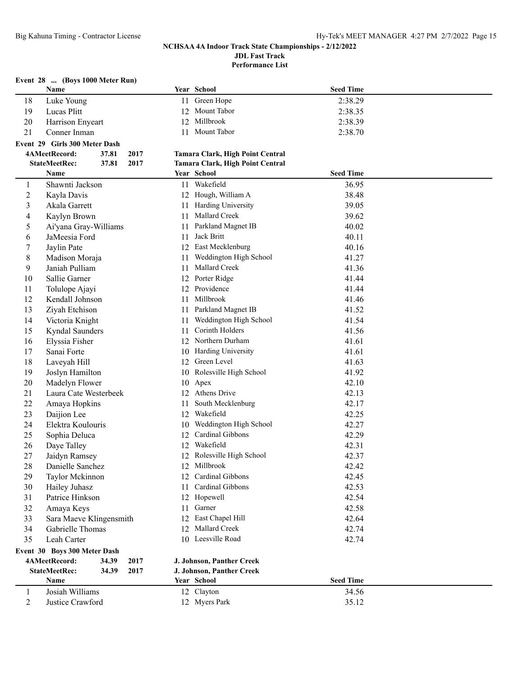**Performance List**

### **Event 28 ... (Boys 1000 Meter Run)**

|                | Name                          |       |      |      | Year School                      | <b>Seed Time</b> |  |
|----------------|-------------------------------|-------|------|------|----------------------------------|------------------|--|
| 18             | Luke Young                    |       |      | 11   | Green Hope                       | 2:38.29          |  |
| 19             | Lucas Plitt                   |       |      | 12   | Mount Tabor                      | 2:38.35          |  |
| 20             | Harrison Enyeart              |       |      | 12   | Millbrook                        | 2:38.39          |  |
| 21             | Conner Inman                  |       |      | 11   | Mount Tabor                      | 2:38.70          |  |
|                | Event 29 Girls 300 Meter Dash |       |      |      |                                  |                  |  |
|                | 4AMeetRecord:                 | 37.81 | 2017 |      | Tamara Clark, High Point Central |                  |  |
|                | <b>StateMeetRec:</b>          | 37.81 | 2017 |      | Tamara Clark, High Point Central |                  |  |
|                | Name                          |       |      |      | Year School                      | <b>Seed Time</b> |  |
| 1              | Shawnti Jackson               |       |      |      | 11 Wakefield                     | 36.95            |  |
| $\overline{2}$ | Kayla Davis                   |       |      |      | 12 Hough, William A              | 38.48            |  |
| 3              | Akala Garrett                 |       |      |      | 11 Harding University            | 39.05            |  |
| 4              | Kaylyn Brown                  |       |      | 11   | Mallard Creek                    | 39.62            |  |
| 5              | Ai'yana Gray-Williams         |       |      | 11   | Parkland Magnet IB               | 40.02            |  |
| 6              | JaMeesia Ford                 |       |      | 11   | Jack Britt                       | 40.11            |  |
| 7              | Jaylin Pate                   |       |      |      | 12 East Mecklenburg              | 40.16            |  |
| 8              | Madison Moraja                |       |      | 11   | Weddington High School           | 41.27            |  |
| 9              | Janiah Pulliam                |       |      | 11   | Mallard Creek                    | 41.36            |  |
| 10             | Sallie Garner                 |       |      |      | 12 Porter Ridge                  | 41.44            |  |
| 11             | Tolulope Ajayi                |       |      |      | 12 Providence                    | 41.44            |  |
| 12             | Kendall Johnson               |       |      | 11   | Millbrook                        | 41.46            |  |
| 13             | Ziyah Etchison                |       |      | 11   | Parkland Magnet IB               | 41.52            |  |
| 14             | Victoria Knight               |       |      | 11   | Weddington High School           | 41.54            |  |
| 15             | Kyndal Saunders               |       |      | 11   | Corinth Holders                  | 41.56            |  |
| 16             | Elyssia Fisher                |       |      |      | 12 Northern Durham               | 41.61            |  |
| 17             | Sanai Forte                   |       |      |      | 10 Harding University            | 41.61            |  |
| 18             | Laveyah Hill                  |       |      |      | 12 Green Level                   | 41.63            |  |
| 19             | Joslyn Hamilton               |       |      | 10   | Rolesville High School           | 41.92            |  |
| 20             | Madelyn Flower                |       |      |      | 10 Apex                          | 42.10            |  |
| 21             | Laura Cate Westerbeek         |       |      | 12   | Athens Drive                     | 42.13            |  |
| 22             | Amaya Hopkins                 |       |      | 11   | South Mecklenburg                | 42.17            |  |
| 23             | Daijion Lee                   |       |      | 12   | Wakefield                        | 42.25            |  |
| 24             | Elektra Koulouris             |       |      | 10   | Weddington High School           | 42.27            |  |
| 25             | Sophia Deluca                 |       |      | 12   | Cardinal Gibbons                 | 42.29            |  |
| 26             | Daye Talley                   |       |      | 12   | Wakefield                        | 42.31            |  |
| 27             | Jaidyn Ramsey                 |       |      |      | 12 Rolesville High School        | 42.37            |  |
| 28             | Danielle Sanchez              |       |      |      | 12 Millbrook                     | 42.42            |  |
| 29             | Taylor Mckinnon               |       |      |      | 12 Cardinal Gibbons              | 42.45            |  |
| 30             | Hailey Juhasz                 |       |      | 11-  | Cardinal Gibbons                 | 42.53            |  |
| 31             | Patrice Hinkson               |       |      |      | 12 Hopewell                      | 42.54            |  |
| 32             | Amaya Keys                    |       |      | 11 - | Garner                           | 42.58            |  |
| 33             | Sara Maeve Klingensmith       |       |      |      | 12 East Chapel Hill              | 42.64            |  |
| 34             | Gabrielle Thomas              |       |      |      | 12 Mallard Creek                 | 42.74            |  |
| 35             | Leah Carter                   |       |      |      | 10 Leesville Road                | 42.74            |  |
|                | Event 30 Boys 300 Meter Dash  |       |      |      |                                  |                  |  |
|                | 4AMeetRecord:                 | 34.39 | 2017 |      | J. Johnson, Panther Creek        |                  |  |
|                | <b>StateMeetRec:</b>          | 34.39 | 2017 |      | J. Johnson, Panther Creek        |                  |  |
|                | Name                          |       |      |      | Year School                      | <b>Seed Time</b> |  |
| 1              | Josiah Williams               |       |      |      | 12 Clayton                       | 34.56            |  |
| 2              | Justice Crawford              |       |      |      | 12 Myers Park                    | 35.12            |  |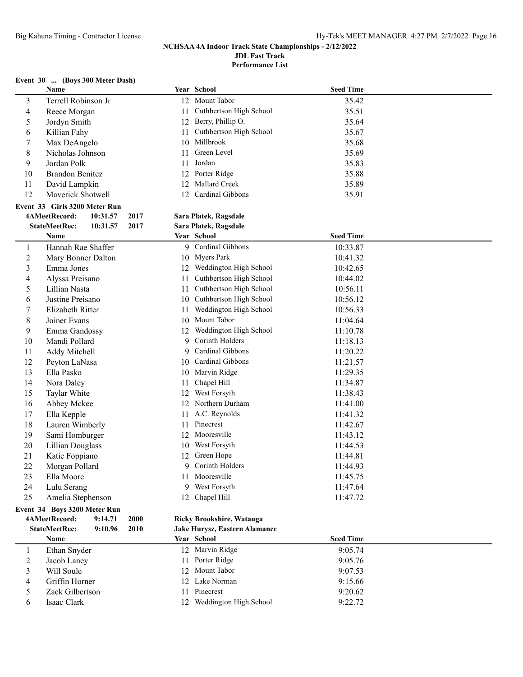**Performance List**

### **Event 30 ... (Boys 300 Meter Dash)**

|                          | Name                             |      |    | Year School                   | <b>Seed Time</b> |  |
|--------------------------|----------------------------------|------|----|-------------------------------|------------------|--|
| 3                        | Terrell Robinson Jr              |      |    | 12 Mount Tabor                | 35.42            |  |
| 4                        | Reece Morgan                     |      | 11 | Cuthbertson High School       | 35.51            |  |
| 5                        | Jordyn Smith                     |      | 12 | Berry, Phillip O.             | 35.64            |  |
| 6                        | Killian Fahy                     |      | 11 | Cuthbertson High School       | 35.67            |  |
| 7                        | Max DeAngelo                     |      |    | 10 Millbrook                  | 35.68            |  |
| 8                        | Nicholas Johnson                 |      | 11 | Green Level                   | 35.69            |  |
| 9                        | Jordan Polk                      |      | 11 | Jordan                        | 35.83            |  |
| 10                       | <b>Brandon Benitez</b>           |      |    | 12 Porter Ridge               | 35.88            |  |
| 11                       | David Lampkin                    |      |    | 12 Mallard Creek              | 35.89            |  |
| 12                       | Maverick Shotwell                |      | 12 | Cardinal Gibbons              | 35.91            |  |
|                          | Event 33 Girls 3200 Meter Run    |      |    |                               |                  |  |
|                          | 4AMeetRecord:<br>10:31.57        | 2017 |    | Sara Platek, Ragsdale         |                  |  |
|                          | <b>StateMeetRec:</b><br>10:31.57 | 2017 |    | Sara Platek, Ragsdale         |                  |  |
|                          | Name                             |      |    | Year School                   | <b>Seed Time</b> |  |
| $\mathbf{1}$             | Hannah Rae Shaffer               |      |    | 9 Cardinal Gibbons            | 10:33.87         |  |
| $\overline{c}$           | Mary Bonner Dalton               |      |    | 10 Myers Park                 | 10:41.32         |  |
| 3                        | Emma Jones                       |      |    | 12 Weddington High School     | 10:42.65         |  |
| 4                        | Alyssa Preisano                  |      | 11 | Cuthbertson High School       | 10:44.02         |  |
| 5                        | Lillian Nasta                    |      | 11 | Cuthbertson High School       | 10:56.11         |  |
|                          | Justine Preisano                 |      |    | 10 Cuthbertson High School    | 10:56.12         |  |
| 6                        | Elizabeth Ritter                 |      |    | Weddington High School        |                  |  |
| 7                        |                                  |      | 11 | 10 Mount Tabor                | 10:56.33         |  |
| 8                        | Joiner Evans                     |      |    |                               | 11:04.64         |  |
| 9                        | Emma Gandossy                    |      |    | 12 Weddington High School     | 11:10.78         |  |
| 10                       | Mandi Pollard                    |      | 9. | Corinth Holders               | 11:18.13         |  |
| 11                       | Addy Mitchell                    |      | 9  | Cardinal Gibbons              | 11:20.22         |  |
| 12                       | Peyton LaNasa                    |      | 10 | Cardinal Gibbons              | 11:21.57         |  |
| 13                       | Ella Pasko                       |      |    | 10 Marvin Ridge               | 11:29.35         |  |
| 14                       | Nora Daley                       |      | 11 | Chapel Hill                   | 11:34.87         |  |
| 15                       | Taylar White                     |      | 12 | West Forsyth                  | 11:38.43         |  |
| 16                       | Abbey Mckee                      |      | 12 | Northern Durham               | 11:41.00         |  |
| 17                       | Ella Kepple                      |      | 11 | A.C. Reynolds                 | 11:41.32         |  |
| 18                       | Lauren Wimberly                  |      | 11 | Pinecrest                     | 11:42.67         |  |
| 19                       | Sami Homburger                   |      |    | 12 Mooresville                | 11:43.12         |  |
| 20                       | Lillian Douglass                 |      |    | 10 West Forsyth               | 11:44.53         |  |
| 21                       | Katie Foppiano                   |      |    | 12 Green Hope                 | 11:44.81         |  |
| 22                       | Morgan Pollard                   |      |    | 9 Corinth Holders             | 11:44.93         |  |
| 23                       | Ella Moore                       |      |    | 11 Mooresville                | 11:45.75         |  |
| 24                       | Lulu Serang                      |      |    | 9 West Forsyth                | 11:47.64         |  |
| 25                       | Amelia Stephenson                |      |    | 12 Chapel Hill                | 11:47.72         |  |
|                          | Event 34 Boys 3200 Meter Run     |      |    |                               |                  |  |
|                          | 4AMeetRecord:<br>9:14.71         | 2000 |    | Ricky Brookshire, Watauga     |                  |  |
|                          | <b>StateMeetRec:</b><br>9:10.96  | 2010 |    | Jake Hurysz, Eastern Alamance |                  |  |
|                          | Name                             |      |    | Year School                   | <b>Seed Time</b> |  |
| $\mathbf{1}$             | Ethan Snyder                     |      |    | 12 Marvin Ridge               | 9:05.74          |  |
| $\overline{c}$           | Jacob Laney                      |      |    | 11 Porter Ridge               | 9:05.76          |  |
| 3                        | Will Soule                       |      |    | 12 Mount Tabor                | 9:07.53          |  |
| $\overline{\mathcal{A}}$ | Griffin Horner                   |      |    | 12 Lake Norman                | 9:15.66          |  |
| 5                        | Zack Gilbertson                  |      |    | 11 Pinecrest                  | 9:20.62          |  |
| 6                        | Isaac Clark                      |      |    | 12 Weddington High School     | 9:22.72          |  |
|                          |                                  |      |    |                               |                  |  |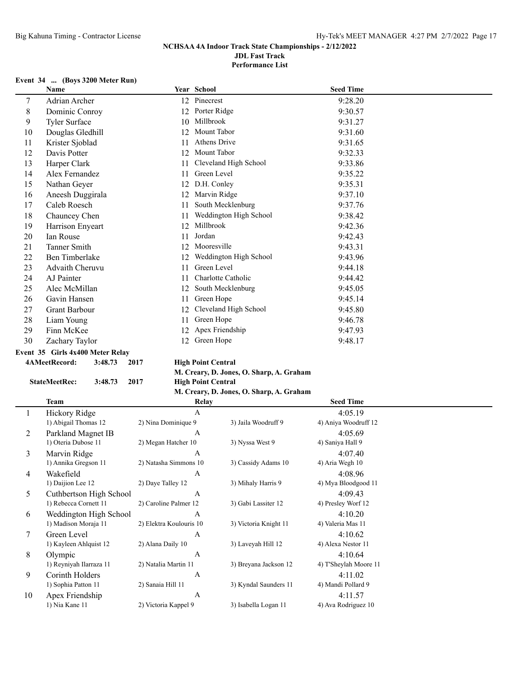**Performance List**

### **Event 34 ... (Boys 3200 Meter Run)**

|    | Name                                |    | Year School            | <b>Seed Time</b> |
|----|-------------------------------------|----|------------------------|------------------|
| 7  | Adrian Archer                       | 12 | Pinecrest              | 9:28.20          |
| 8  | Dominic Conroy                      | 12 | Porter Ridge           | 9:30.57          |
| 9  | Tyler Surface                       | 10 | Millbrook              | 9:31.27          |
| 10 | Douglas Gledhill                    | 12 | Mount Tabor            | 9:31.60          |
| 11 | Krister Sjoblad                     | 11 | Athens Drive           | 9:31.65          |
| 12 | Davis Potter                        | 12 | Mount Tabor            | 9:32.33          |
| 13 | Harper Clark                        | 11 | Cleveland High School  | 9:33.86          |
| 14 | Alex Fernandez                      | 11 | Green Level            | 9:35.22          |
| 15 | Nathan Geyer                        | 12 | D.H. Conley            | 9:35.31          |
| 16 | Aneesh Duggirala                    | 12 | Marvin Ridge           | 9:37.10          |
| 17 | Caleb Roesch                        | 11 | South Mecklenburg      | 9:37.76          |
| 18 | Chauncey Chen                       | 11 | Weddington High School | 9:38.42          |
| 19 | Harrison Enyeart                    | 12 | Millbrook              | 9:42.36          |
| 20 | <b>Ian Rouse</b>                    | 11 | Jordan                 | 9:42.43          |
| 21 | <b>Tanner Smith</b>                 | 12 | Mooresville            | 9:43.31          |
| 22 | Ben Timberlake                      | 12 | Weddington High School | 9:43.96          |
| 23 | Advaith Cheruvu                     | 11 | Green Level            | 9:44.18          |
| 24 | AJ Painter                          | 11 | Charlotte Catholic     | 9:44.42          |
| 25 | Alec McMillan                       | 12 | South Mecklenburg      | 9:45.05          |
| 26 | Gavin Hansen                        | 11 | Green Hope             | 9:45.14          |
| 27 | Grant Barbour                       | 12 | Cleveland High School  | 9:45.80          |
| 28 | Liam Young                          | 11 | Green Hope             | 9:46.78          |
| 29 | Finn McKee                          | 12 | Apex Friendship        | 9:47.93          |
| 30 | Zachary Taylor                      | 12 | Green Hope             | 9:48.17          |
|    | Fyant, 35 - Cirls 4v400 Matar Ralay |    |                        |                  |

# **Event 35 Girls 4x400 Meter Relay**

### **4AMeetRecord: 3:48.73 2017 High Point Central**

### **M. Creary, D. Jones, O. Sharp, A. Graham**

**StateMeetRec: 3:48.73 2017 High Point Central**

### **M. Creary, D. Jones, O. Sharp, A. Graham**

|    | Team                    | Relay                   |                       | <b>Seed Time</b>      |  |
|----|-------------------------|-------------------------|-----------------------|-----------------------|--|
|    | Hickory Ridge           | A                       |                       | 4:05.19               |  |
|    | 1) Abigail Thomas 12    | 2) Nina Dominique 9     | 3) Jaila Woodruff 9   | 4) Aniya Woodruff 12  |  |
| 2  | Parkland Magnet IB      | A                       |                       | 4:05.69               |  |
|    | 1) Oteria Dubose 11     | 2) Megan Hatcher 10     | 3) Nyssa West 9       | 4) Saniya Hall 9      |  |
| 3  | Marvin Ridge            | A                       |                       | 4:07.40               |  |
|    | 1) Annika Gregson 11    | 2) Natasha Simmons 10   | 3) Cassidy Adams 10   | 4) Aria Wegh 10       |  |
| 4  | Wakefield               | A                       |                       | 4:08.96               |  |
|    | 1) Daijion Lee 12       | 2) Daye Talley 12       | 3) Mihaly Harris 9    | 4) Mya Bloodgood 11   |  |
| 5  | Cuthbertson High School | A                       |                       | 4:09.43               |  |
|    | 1) Rebecca Cornett 11   | 2) Caroline Palmer 12   | 3) Gabi Lassiter 12   | 4) Presley Worf 12    |  |
| 6  | Weddington High School  | A                       |                       | 4:10.20               |  |
|    | 1) Madison Moraja 11    | 2) Elektra Koulouris 10 | 3) Victoria Knight 11 | 4) Valeria Mas 11     |  |
| 7  | Green Level             | A                       |                       | 4:10.62               |  |
|    | 1) Kayleen Ahlquist 12  | 2) Alana Daily 10       | 3) Laveyah Hill 12    | 4) Alexa Nestor 11    |  |
| 8  | Olympic                 | A                       |                       | 4:10.64               |  |
|    | 1) Reyniyah Ilarraza 11 | 2) Natalia Martin 11    | 3) Breyana Jackson 12 | 4) T'Sheylah Moore 11 |  |
| 9  | Corinth Holders         | A                       |                       | 4:11.02               |  |
|    | 1) Sophia Patton 11     | 2) Sanaia Hill 11       | 3) Kyndal Saunders 11 | 4) Mandi Pollard 9    |  |
| 10 | Apex Friendship         | A                       |                       | 4:11.57               |  |
|    | 1) Nia Kane 11          | 2) Victoria Kappel 9    | 3) Isabella Logan 11  | 4) Ava Rodriguez 10   |  |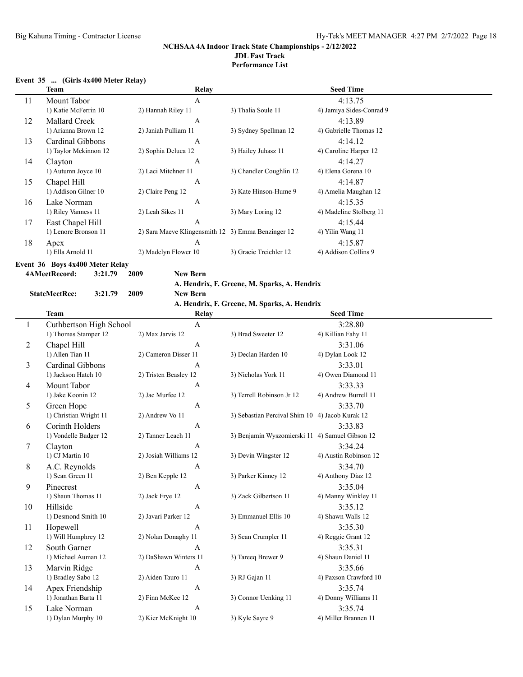### **Event 35 ... (Girls 4x400 Meter Relay)**

|    | <b>Team</b>           | Relay                                              |                         | <b>Seed Time</b>         |
|----|-----------------------|----------------------------------------------------|-------------------------|--------------------------|
| 11 | Mount Tabor           | A                                                  |                         | 4:13.75                  |
|    | 1) Katie McFerrin 10  | 2) Hannah Riley 11                                 | 3) Thalia Soule 11      | 4) Jamiya Sides-Conrad 9 |
| 12 | Mallard Creek         | A                                                  |                         | 4:13.89                  |
|    | 1) Arianna Brown 12   | 2) Janiah Pulliam 11                               | 3) Sydney Spellman 12   | 4) Gabrielle Thomas 12   |
| 13 | Cardinal Gibbons      | A                                                  |                         | 4:14.12                  |
|    | 1) Taylor Mckinnon 12 | 2) Sophia Deluca 12                                | 3) Hailey Juhasz 11     | 4) Caroline Harper 12    |
| 14 | Clayton               | A                                                  |                         | 4:14.27                  |
|    | 1) Autumn Joyce 10    | 2) Laci Mitchner 11                                | 3) Chandler Coughlin 12 | 4) Elena Gorena 10       |
| 15 | Chapel Hill           | A                                                  |                         | 4:14.87                  |
|    | 1) Addison Gilner 10  | 2) Claire Peng 12                                  | 3) Kate Hinson-Hume 9   | 4) Amelia Maughan 12     |
| 16 | Lake Norman           | A                                                  |                         | 4:15.35                  |
|    | 1) Riley Vanness 11   | 2) Leah Sikes 11                                   | 3) Mary Loring 12       | 4) Madeline Stolberg 11  |
| 17 | East Chapel Hill      | $\mathbf{A}$                                       |                         | 4:15.44                  |
|    | 1) Lenore Bronson 11  | 2) Sara Maeve Klingensmith 12 3) Emma Benzinger 12 |                         | 4) Yilin Wang 11         |
| 18 | Apex                  | $\mathbf{A}$                                       |                         | 4:15.87                  |
|    | 1) Ella Arnold 11     | 2) Madelyn Flower 10                               | 3) Gracie Treichler 12  | 4) Addison Collins 9     |
|    |                       |                                                    |                         |                          |

**Event 36 Boys 4x400 Meter Relay**

**4AMeetRecord: 3:21.79 2009 New Bern**

### **A. Hendrix, F. Greene, M. Sparks, A. Hendrix**

**StateMeetRec: 3:21.79 2009 New Bern**

### **A. Hendrix, F. Greene, M. Sparks, A. Hendrix**

|    | <b>Team</b>             | <b>Relay</b>          |                                                 | <b>Seed Time</b>      |
|----|-------------------------|-----------------------|-------------------------------------------------|-----------------------|
|    | Cuthbertson High School | A                     |                                                 | 3:28.80               |
|    | 1) Thomas Stamper 12    | 2) Max Jarvis 12      | 3) Brad Sweeter 12                              | 4) Killian Fahy 11    |
| 2  | Chapel Hill             | $\mathbf{A}$          |                                                 | 3:31.06               |
|    | 1) Allen Tian 11        | 2) Cameron Disser 11  | 3) Declan Harden 10                             | 4) Dylan Look 12      |
| 3  | Cardinal Gibbons        | $\mathbf{A}$          |                                                 | 3:33.01               |
|    | 1) Jackson Hatch 10     | 2) Tristen Beasley 12 | 3) Nicholas York 11                             | 4) Owen Diamond 11    |
| 4  | Mount Tabor             | A                     |                                                 | 3:33.33               |
|    | 1) Jake Koonin 12       | 2) Jac Murfee 12      | 3) Terrell Robinson Jr 12                       | 4) Andrew Burrell 11  |
| 5  | Green Hope              | $\mathbf{A}$          |                                                 | 3:33.70               |
|    | 1) Christian Wright 11  | 2) Andrew Vo 11       | 3) Sebastian Percival Shim 10 4) Jacob Kurak 12 |                       |
| 6  | Corinth Holders         | $\mathbf{A}$          |                                                 | 3:33.83               |
|    | 1) Vondelle Badger 12   | 2) Tanner Leach 11    | 3) Benjamin Wyszomierski 11 4) Samuel Gibson 12 |                       |
| 7  | Clayton                 | A                     |                                                 | 3:34.24               |
|    | 1) CJ Martin 10         | 2) Josiah Williams 12 | 3) Devin Wingster 12                            | 4) Austin Robinson 12 |
| 8  | A.C. Reynolds           | $\mathbf{A}$          |                                                 | 3:34.70               |
|    | 1) Sean Green 11        | 2) Ben Kepple 12      | 3) Parker Kinney 12                             | 4) Anthony Diaz 12    |
| 9  | Pinecrest               | $\mathbf{A}$          |                                                 | 3:35.04               |
|    | 1) Shaun Thomas 11      | 2) Jack Frye 12       | 3) Zack Gilbertson 11                           | 4) Manny Winkley 11   |
| 10 | Hillside                | $\mathbf{A}$          |                                                 | 3:35.12               |
|    | 1) Desmond Smith 10     | 2) Javari Parker 12   | 3) Emmanuel Ellis 10                            | 4) Shawn Walls 12     |
| 11 | Hopewell                | A                     |                                                 | 3:35.30               |
|    | 1) Will Humphrey 12     | 2) Nolan Donaghy 11   | 3) Sean Crumpler 11                             | 4) Reggie Grant 12    |
| 12 | South Garner            | $\mathbf{A}$          |                                                 | 3:35.31               |
|    | 1) Michael Auman 12     | 2) DaShawn Winters 11 | 3) Tareeq Brewer 9                              | 4) Shaun Daniel 11    |
| 13 | Marvin Ridge            | A                     |                                                 | 3:35.66               |
|    | 1) Bradley Sabo 12      | 2) Aiden Tauro 11     | 3) RJ Gajan 11                                  | 4) Paxson Crawford 10 |
| 14 | Apex Friendship         | $\mathbf{A}$          |                                                 | 3:35.74               |
|    | 1) Jonathan Barta 11    | 2) Finn McKee 12      | 3) Connor Uenking 11                            | 4) Donny Williams 11  |
| 15 | Lake Norman             | $\mathbf{A}$          |                                                 | 3:35.74               |
|    | 1) Dylan Murphy 10      | 2) Kier McKnight 10   | 3) Kyle Sayre 9                                 | 4) Miller Brannen 11  |